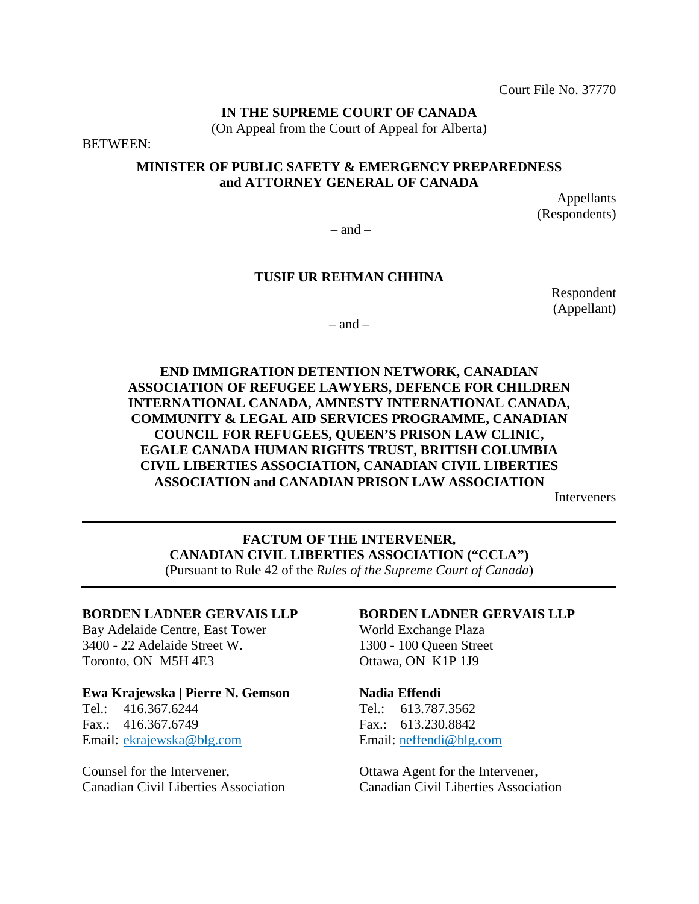Court File No. 37770

## **IN THE SUPREME COURT OF CANADA**

(On Appeal from the Court of Appeal for Alberta)

BETWEEN:

### **MINISTER OF PUBLIC SAFETY & EMERGENCY PREPAREDNESS and ATTORNEY GENERAL OF CANADA**

Appellants (Respondents)

 $-$  and  $-$ 

### **TUSIF UR REHMAN CHHINA**

Respondent (Appellant)

 $-$  and  $-$ 

### **END IMMIGRATION DETENTION NETWORK, CANADIAN ASSOCIATION OF REFUGEE LAWYERS, DEFENCE FOR CHILDREN INTERNATIONAL CANADA, AMNESTY INTERNATIONAL CANADA, COMMUNITY & LEGAL AID SERVICES PROGRAMME, CANADIAN COUNCIL FOR REFUGEES, QUEEN'S PRISON LAW CLINIC, EGALE CANADA HUMAN RIGHTS TRUST, BRITISH COLUMBIA CIVIL LIBERTIES ASSOCIATION, CANADIAN CIVIL LIBERTIES ASSOCIATION and CANADIAN PRISON LAW ASSOCIATION**

Interveners

**FACTUM OF THE INTERVENER, CANADIAN CIVIL LIBERTIES ASSOCIATION ("CCLA")**  (Pursuant to Rule 42 of the *Rules of the Supreme Court of Canada*)

### **BORDEN LADNER GERVAIS LLP**

Bay Adelaide Centre, East Tower 3400 - 22 Adelaide Street W. Toronto, ON M5H 4E3

## **Ewa Krajewska | Pierre N. Gemson**

Tel.: 416.367.6244 Fax.: 416.367.6749 Email: ekrajewska@blg.com

Counsel for the Intervener, Canadian Civil Liberties Association

### **BORDEN LADNER GERVAIS LLP**

World Exchange Plaza 1300 - 100 Queen Street Ottawa, ON K1P 1J9

#### **Nadia Effendi**

Tel.: 613.787.3562 Fax.: 613.230.8842 Email: neffendi@blg.com

Ottawa Agent for the Intervener, Canadian Civil Liberties Association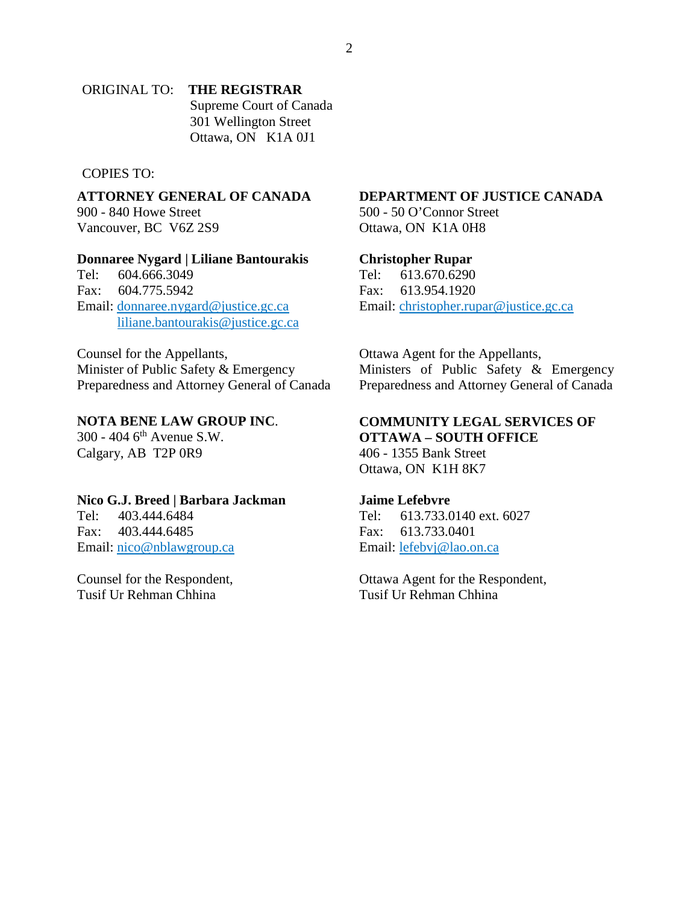### ORIGINAL TO: **THE REGISTRAR** Supreme Court of Canada 301 Wellington Street Ottawa, ON K1A 0J1

### COPIES TO:

**ATTORNEY GENERAL OF CANADA**  900 - 840 Howe Street Vancouver, BC V6Z 2S9

#### **Donnaree Nygard | Liliane Bantourakis**

Tel: 604.666.3049 Fax: 604.775.5942 Email: donnaree.nygard@justice.gc.ca liliane.bantourakis@justice.gc.ca

Counsel for the Appellants, Minister of Public Safety & Emergency Preparedness and Attorney General of Canada

### **NOTA BENE LAW GROUP INC**.

300 - 404 6th Avenue S.W. Calgary, AB T2P 0R9

#### **Nico G.J. Breed | Barbara Jackman**

Tel: 403.444.6484 Fax: 403.444.6485 Email: nico@nblawgroup.ca

Counsel for the Respondent, Tusif Ur Rehman Chhina

### **DEPARTMENT OF JUSTICE CANADA**

500 - 50 O'Connor Street Ottawa, ON K1A 0H8

#### **Christopher Rupar**

Tel: 613.670.6290 Fax: 613.954.1920 Email: christopher.rupar@justice.gc.ca

Ottawa Agent for the Appellants, Ministers of Public Safety & Emergency Preparedness and Attorney General of Canada

#### **COMMUNITY LEGAL SERVICES OF OTTAWA – SOUTH OFFICE**

406 - 1355 Bank Street Ottawa, ON K1H 8K7

#### **Jaime Lefebvre**

Tel: 613.733.0140 ext. 6027 Fax: 613.733.0401 Email: lefebvj@lao.on.ca

Ottawa Agent for the Respondent, Tusif Ur Rehman Chhina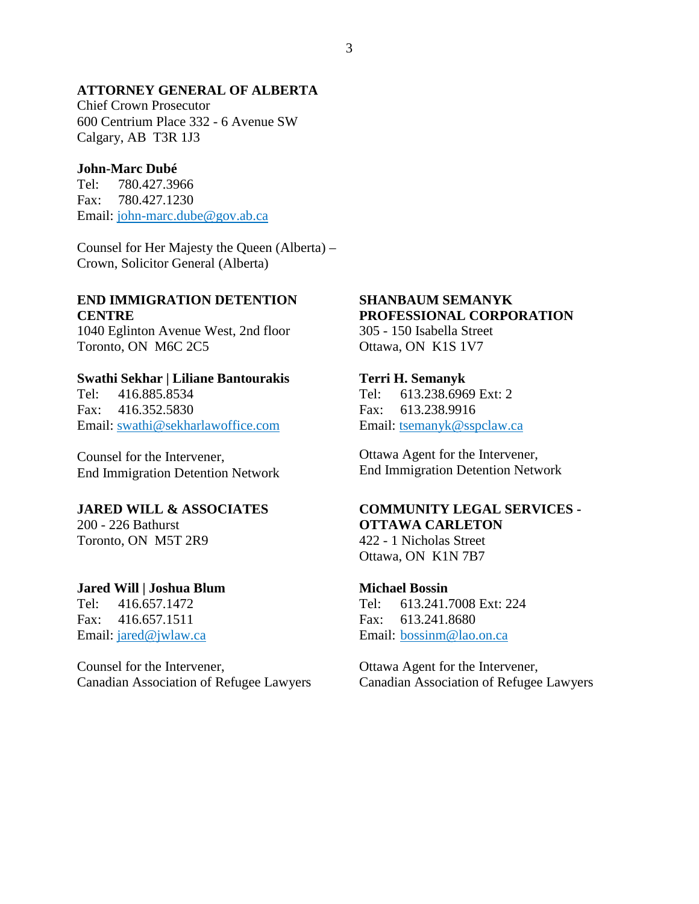#### **ATTORNEY GENERAL OF ALBERTA**

Chief Crown Prosecutor 600 Centrium Place 332 - 6 Avenue SW Calgary, AB T3R 1J3

### **John-Marc Dubé**

Tel: 780.427.3966 Fax: 780.427.1230 Email: john-marc.dube@gov.ab.ca

Counsel for Her Majesty the Queen (Alberta) – Crown, Solicitor General (Alberta)

#### **END IMMIGRATION DETENTION CENTRE**

1040 Eglinton Avenue West, 2nd floor Toronto, ON M6C 2C5

#### **Swathi Sekhar | Liliane Bantourakis**

Tel: 416.885.8534 Fax: 416.352.5830 Email: swathi@sekharlawoffice.com

Counsel for the Intervener, End Immigration Detention Network

#### **JARED WILL & ASSOCIATES**

200 - 226 Bathurst Toronto, ON M5T 2R9

### **Jared Will | Joshua Blum**

Tel: 416.657.1472 Fax: 416.657.1511 Email: jared@jwlaw.ca

Counsel for the Intervener, Canadian Association of Refugee Lawyers

## **SHANBAUM SEMANYK PROFESSIONAL CORPORATION**

305 - 150 Isabella Street Ottawa, ON K1S 1V7

#### **Terri H. Semanyk**

Tel: 613.238.6969 Ext: 2 Fax: 613.238.9916 Email: tsemanyk@sspclaw.ca

Ottawa Agent for the Intervener, End Immigration Detention Network

## **COMMUNITY LEGAL SERVICES - OTTAWA CARLETON**

422 - 1 Nicholas Street Ottawa, ON K1N 7B7

#### **Michael Bossin**

Tel: 613.241.7008 Ext: 224 Fax: 613.241.8680 Email: bossinm@lao.on.ca

Ottawa Agent for the Intervener, Canadian Association of Refugee Lawyers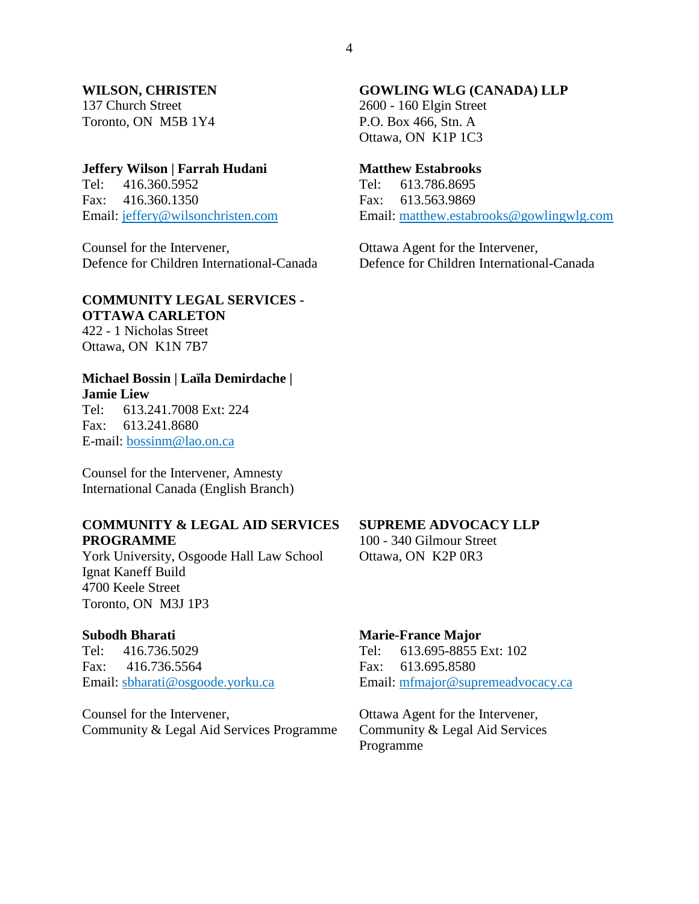#### **WILSON, CHRISTEN**

137 Church Street Toronto, ON M5B 1Y4

#### **Jeffery Wilson | Farrah Hudani**

Tel: 416.360.5952 Fax: 416.360.1350 Email: jeffery@wilsonchristen.com

Counsel for the Intervener, Defence for Children International-Canada

#### **COMMUNITY LEGAL SERVICES - OTTAWA CARLETON**

422 - 1 Nicholas Street Ottawa, ON K1N 7B7

#### **Michael Bossin | Laïla Demirdache | Jamie Liew**

Tel: 613.241.7008 Ext: 224 Fax: 613.241.8680 E-mail: bossinm@lao.on.ca

Counsel for the Intervener, Amnesty International Canada (English Branch)

#### **COMMUNITY & LEGAL AID SERVICES PROGRAMME**

York University, Osgoode Hall Law School Ignat Kaneff Build 4700 Keele Street Toronto, ON M3J 1P3

#### **Subodh Bharati**

Tel: 416.736.5029 Fax: 416.736.5564 Email: sbharati@osgoode.yorku.ca

Counsel for the Intervener, Community & Legal Aid Services Programme

#### **GOWLING WLG (CANADA) LLP**

2600 - 160 Elgin Street P.O. Box 466, Stn. A Ottawa, ON K1P 1C3

### **Matthew Estabrooks**

Tel: 613.786.8695 Fax: 613.563.9869 Email: matthew.estabrooks@gowlingwlg.com

Ottawa Agent for the Intervener, Defence for Children International-Canada

#### **SUPREME ADVOCACY LLP**

100 - 340 Gilmour Street Ottawa, ON K2P 0R3

#### **Marie-France Major**

Tel: 613.695-8855 Ext: 102 Fax: 613.695.8580 Email: mfmajor@supremeadvocacy.ca

Ottawa Agent for the Intervener, Community & Legal Aid Services Programme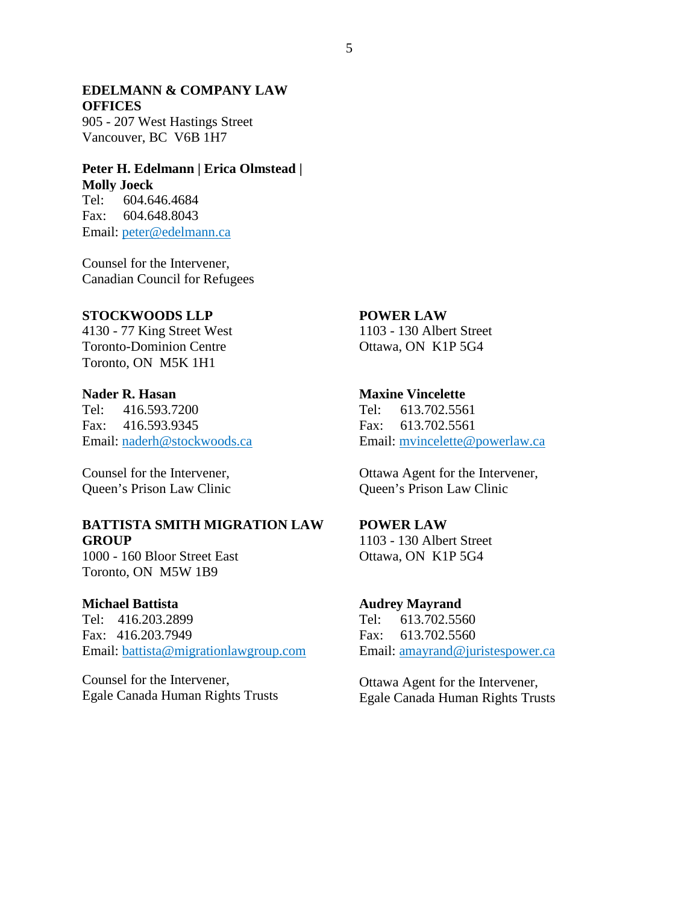### **EDELMANN & COMPANY LAW OFFICES**

905 - 207 West Hastings Street Vancouver, BC V6B 1H7

### **Peter H. Edelmann | Erica Olmstead | Molly Joeck**

Tel: 604.646.4684 Fax: 604.648.8043 Email: peter@edelmann.ca

Counsel for the Intervener, Canadian Council for Refugees

#### **STOCKWOODS LLP**

4130 - 77 King Street West Toronto-Dominion Centre Toronto, ON M5K 1H1

### **Nader R. Hasan**

Tel: 416.593.7200 Fax: 416.593.9345 Email: naderh@stockwoods.ca

Counsel for the Intervener, Queen's Prison Law Clinic

#### **BATTISTA SMITH MIGRATION LAW GROUP**

1000 - 160 Bloor Street East Toronto, ON M5W 1B9

#### **Michael Battista**

Tel: 416.203.2899 Fax: 416.203.7949 Email: battista@migrationlawgroup.com

Counsel for the Intervener, Egale Canada Human Rights Trusts

### **POWER LAW**

1103 - 130 Albert Street Ottawa, ON K1P 5G4

#### **Maxine Vincelette**

Tel: 613.702.5561 Fax: 613.702.5561 Email: mvincelette@powerlaw.ca

Ottawa Agent for the Intervener, Queen's Prison Law Clinic

#### **POWER LAW**

1103 - 130 Albert Street Ottawa, ON K1P 5G4

#### **Audrey Mayrand**

Tel: 613.702.5560 Fax: 613.702.5560 Email: amayrand@juristespower.ca

Ottawa Agent for the Intervener, Egale Canada Human Rights Trusts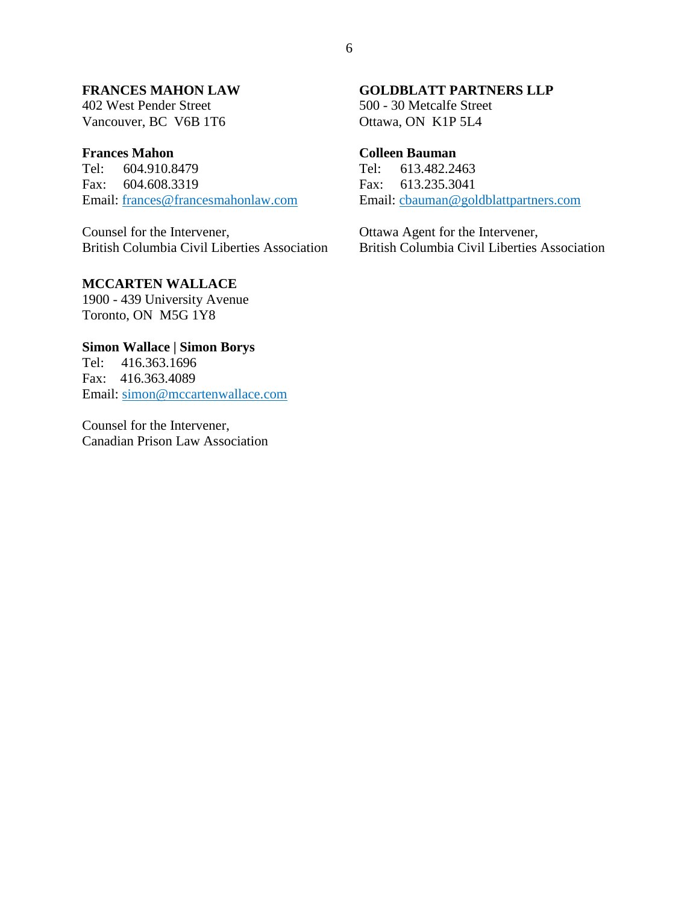### **FRANCES MAHON LAW**

402 West Pender Street Vancouver, BC V6B 1T6

#### **Frances Mahon**

Tel: 604.910.8479 Fax: 604.608.3319 Email: frances@francesmahonlaw.com

Counsel for the Intervener, British Columbia Civil Liberties Association

### **MCCARTEN WALLACE**

1900 - 439 University Avenue Toronto, ON M5G 1Y8

### **Simon Wallace | Simon Borys**

Tel: 416.363.1696 Fax: 416.363.4089 Email: simon@mccartenwallace.com

Counsel for the Intervener, Canadian Prison Law Association

#### **GOLDBLATT PARTNERS LLP**

500 - 30 Metcalfe Street Ottawa, ON K1P 5L4

### **Colleen Bauman**

Tel: 613.482.2463 Fax: 613.235.3041 Email: cbauman@goldblattpartners.com

Ottawa Agent for the Intervener, British Columbia Civil Liberties Association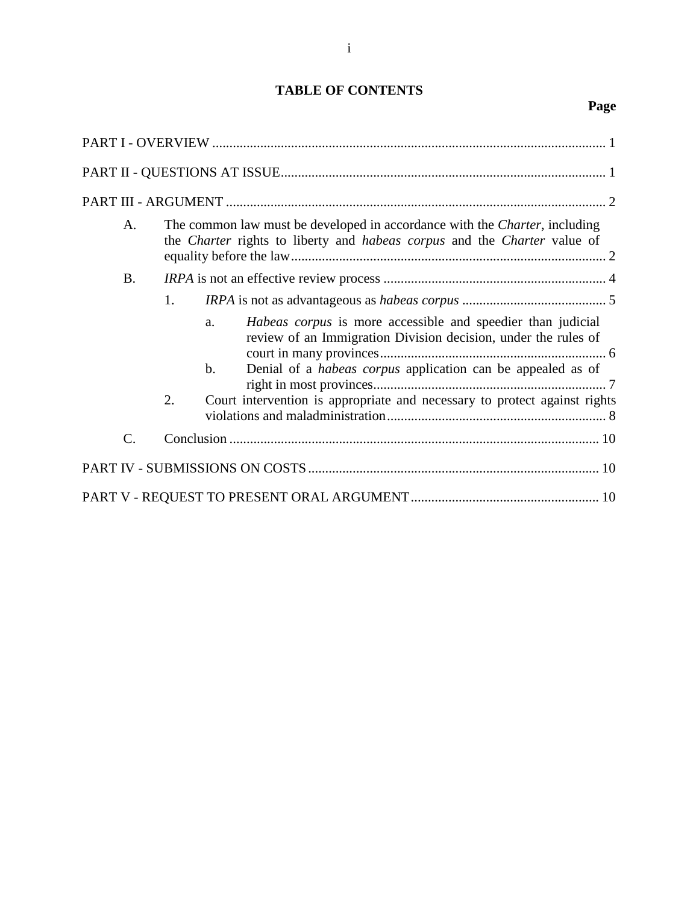## **TABLE OF CONTENTS**

## **Page**

| A.              |    | The common law must be developed in accordance with the <i>Charter</i> , including<br>the <i>Charter</i> rights to liberty and <i>habeas corpus</i> and the <i>Charter</i> value of                             |  |
|-----------------|----|-----------------------------------------------------------------------------------------------------------------------------------------------------------------------------------------------------------------|--|
| <b>B.</b>       |    |                                                                                                                                                                                                                 |  |
|                 | 1. |                                                                                                                                                                                                                 |  |
|                 |    | Habeas corpus is more accessible and speedier than judicial<br>a.<br>review of an Immigration Division decision, under the rules of<br>Denial of a <i>habeas corpus</i> application can be appealed as of<br>b. |  |
|                 | 2. | Court intervention is appropriate and necessary to protect against rights                                                                                                                                       |  |
| $\mathcal{C}$ . |    |                                                                                                                                                                                                                 |  |
|                 |    |                                                                                                                                                                                                                 |  |
|                 |    |                                                                                                                                                                                                                 |  |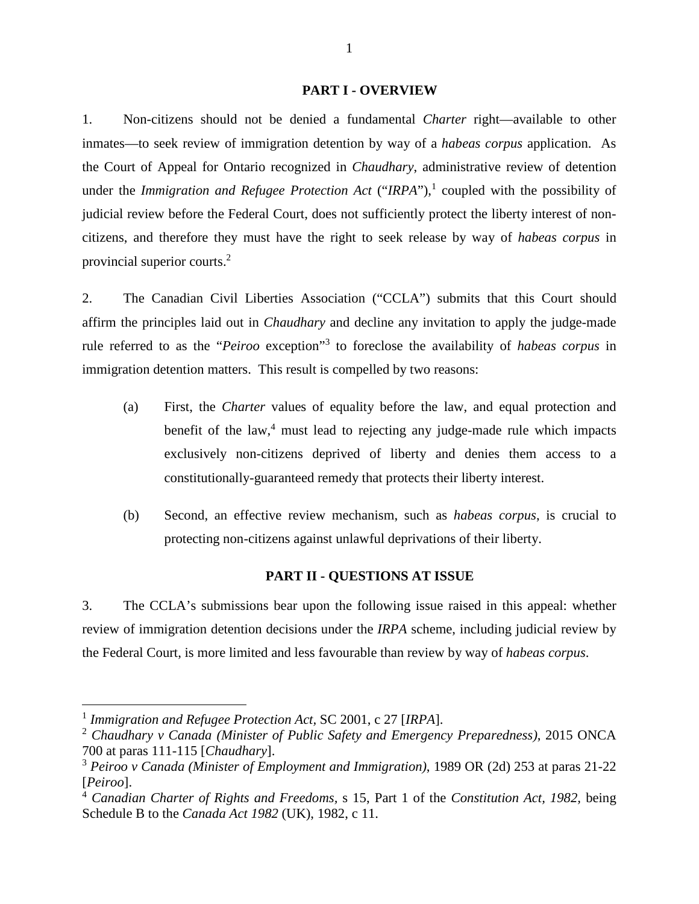#### **PART I - OVERVIEW**

1. Non-citizens should not be denied a fundamental *Charter* right—available to other inmates—to seek review of immigration detention by way of a *habeas corpus* application. As the Court of Appeal for Ontario recognized in *Chaudhary*, administrative review of detention under the *Immigration and Refugee Protection Act* ("*IRPA*"),<sup>1</sup> coupled with the possibility of judicial review before the Federal Court, does not sufficiently protect the liberty interest of noncitizens, and therefore they must have the right to seek release by way of *habeas corpus* in provincial superior courts.<sup>2</sup>

2. The Canadian Civil Liberties Association ("CCLA") submits that this Court should affirm the principles laid out in *Chaudhary* and decline any invitation to apply the judge-made rule referred to as the "*Peiroo* exception"<sup>3</sup> to foreclose the availability of *habeas corpus* in immigration detention matters. This result is compelled by two reasons:

- (a) First, the *Charter* values of equality before the law, and equal protection and benefit of the law,<sup>4</sup> must lead to rejecting any judge-made rule which impacts exclusively non-citizens deprived of liberty and denies them access to a constitutionally-guaranteed remedy that protects their liberty interest.
- (b) Second, an effective review mechanism, such as *habeas corpus*, is crucial to protecting non-citizens against unlawful deprivations of their liberty.

#### **PART II - QUESTIONS AT ISSUE**

3. The CCLA's submissions bear upon the following issue raised in this appeal: whether review of immigration detention decisions under the *IRPA* scheme, including judicial review by the Federal Court, is more limited and less favourable than review by way of *habeas corpus*.

<sup>1</sup> *Immigration and Refugee Protection Act,* SC 2001, c 27 [*IRPA*].

<sup>2</sup> *Chaudhary v Canada (Minister of Public Safety and Emergency Preparedness)*, 2015 ONCA 700 at paras 111-115 [*Chaudhary*].

<sup>3</sup> *Peiroo v Canada (Minister of Employment and Immigration)*, 1989 OR (2d) 253 at paras 21-22 [*Peiroo*].

<sup>4</sup> *Canadian Charter of Rights and Freedoms,* s 15, Part 1 of the *Constitution Act, 1982,* being Schedule B to the *Canada Act 1982* (UK), 1982, c 11.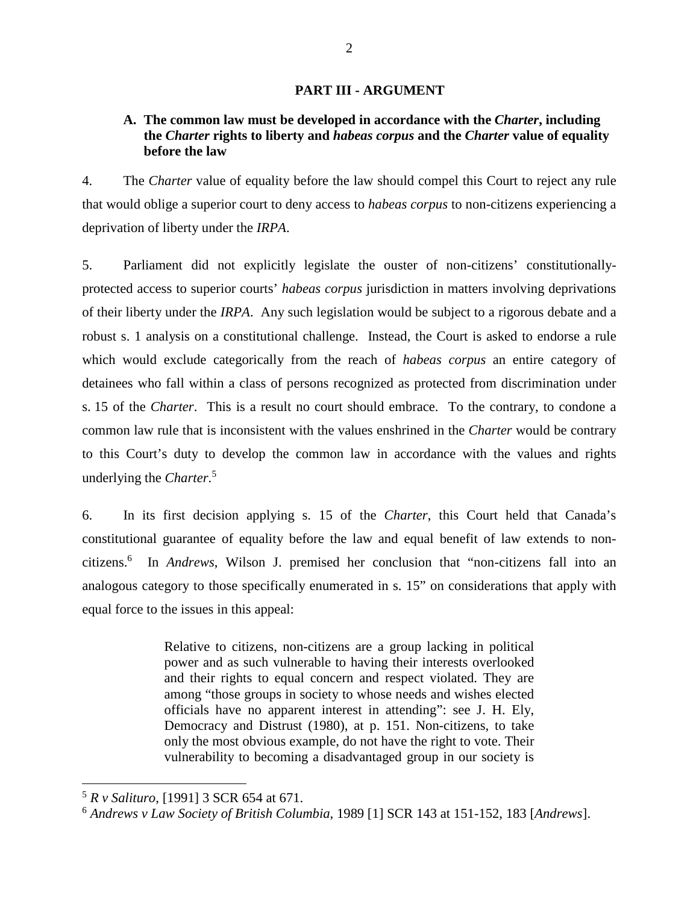#### **PART III - ARGUMENT**

### **A. The common law must be developed in accordance with the** *Charter***, including the** *Charter* **rights to liberty and** *habeas corpus* **and the** *Charter* **value of equality before the law**

4. The *Charter* value of equality before the law should compel this Court to reject any rule that would oblige a superior court to deny access to *habeas corpus* to non-citizens experiencing a deprivation of liberty under the *IRPA*.

5. Parliament did not explicitly legislate the ouster of non-citizens' constitutionallyprotected access to superior courts' *habeas corpus* jurisdiction in matters involving deprivations of their liberty under the *IRPA*. Any such legislation would be subject to a rigorous debate and a robust s. 1 analysis on a constitutional challenge. Instead, the Court is asked to endorse a rule which would exclude categorically from the reach of *habeas corpus* an entire category of detainees who fall within a class of persons recognized as protected from discrimination under s. 15 of the *Charter*. This is a result no court should embrace. To the contrary, to condone a common law rule that is inconsistent with the values enshrined in the *Charter* would be contrary to this Court's duty to develop the common law in accordance with the values and rights underlying the *Charter*. 5

6. In its first decision applying s. 15 of the *Charter*, this Court held that Canada's constitutional guarantee of equality before the law and equal benefit of law extends to noncitizens.<sup>6</sup> In *Andrews*, Wilson J. premised her conclusion that "non-citizens fall into an analogous category to those specifically enumerated in s. 15" on considerations that apply with equal force to the issues in this appeal:

> Relative to citizens, non-citizens are a group lacking in political power and as such vulnerable to having their interests overlooked and their rights to equal concern and respect violated. They are among "those groups in society to whose needs and wishes elected officials have no apparent interest in attending": see J. H. Ely, Democracy and Distrust (1980), at p. 151. Non-citizens, to take only the most obvious example, do not have the right to vote. Their vulnerability to becoming a disadvantaged group in our society is

<sup>5</sup> *R v Salituro*, [1991] 3 SCR 654 at 671.

<sup>6</sup> *Andrews v Law Society of British Columbia*, 1989 [1] SCR 143 at 151-152, 183 [*Andrews*].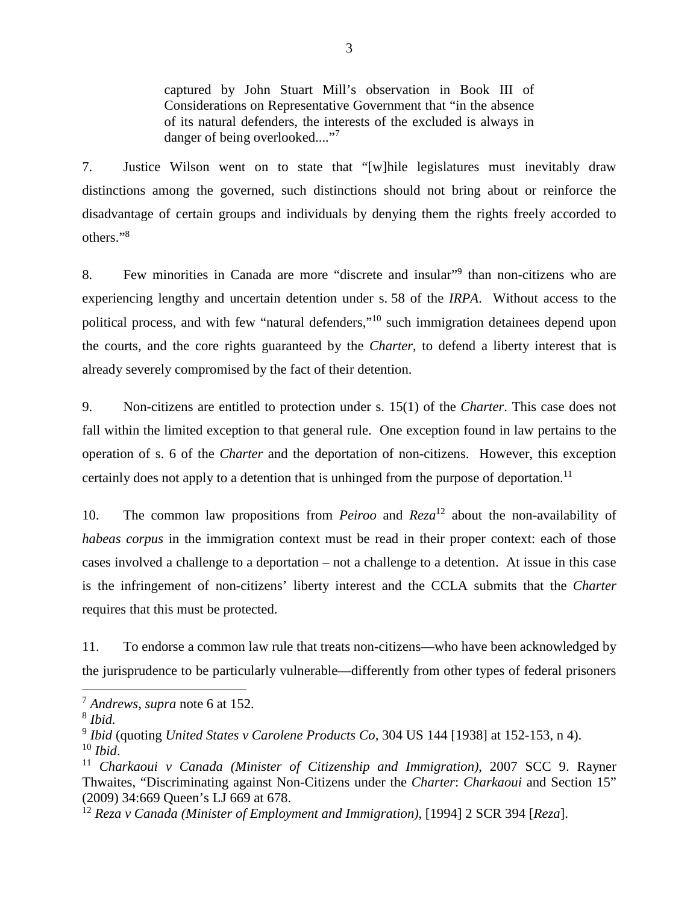captured by John Stuart Mill's observation in Book III of Considerations on Representative Government that "in the absence of its natural defenders, the interests of the excluded is always in danger of being overlooked...."<sup>7</sup>

7. Justice Wilson went on to state that "[w]hile legislatures must inevitably draw distinctions among the governed, such distinctions should not bring about or reinforce the disadvantage of certain groups and individuals by denying them the rights freely accorded to others."<sup>8</sup>

8. Few minorities in Canada are more "discrete and insular"<sup>9</sup> than non-citizens who are experiencing lengthy and uncertain detention under s. 58 of the *IRPA*. Without access to the political process, and with few "natural defenders,"<sup>10</sup> such immigration detainees depend upon the courts, and the core rights guaranteed by the *Charter*, to defend a liberty interest that is already severely compromised by the fact of their detention.

9. Non-citizens are entitled to protection under s. 15(1) of the *Charter*. This case does not fall within the limited exception to that general rule. One exception found in law pertains to the operation of s. 6 of the *Charter* and the deportation of non-citizens. However, this exception certainly does not apply to a detention that is unhinged from the purpose of deportation.<sup>11</sup>

10. The common law propositions from *Peiroo* and *Reza*<sup>12</sup> about the non-availability of *habeas corpus* in the immigration context must be read in their proper context: each of those cases involved a challenge to a deportation – not a challenge to a detention. At issue in this case is the infringement of non-citizens' liberty interest and the CCLA submits that the *Charter*  requires that this must be protected.

11. To endorse a common law rule that treats non-citizens—who have been acknowledged by the jurisprudence to be particularly vulnerable—differently from other types of federal prisoners

<sup>7</sup> *Andrews*, *supra* note 6 at 152.

<sup>8</sup> *Ibid.*

<sup>9</sup> *Ibid* (quoting *United States v Carolene Products Co,* 304 US 144 [1938] at 152-153, n 4). <sup>10</sup> *Ibid*.

<sup>11</sup> *Charkaoui v Canada (Minister of Citizenship and Immigration)*, 2007 SCC 9. Rayner Thwaites, "Discriminating against Non-Citizens under the *Charter*: *Charkaoui* and Section 15" (2009) 34:669 Queen's LJ 669 at 678.

<sup>12</sup> *Reza v Canada (Minister of Employment and Immigration)*, [1994] 2 SCR 394 [*Reza*].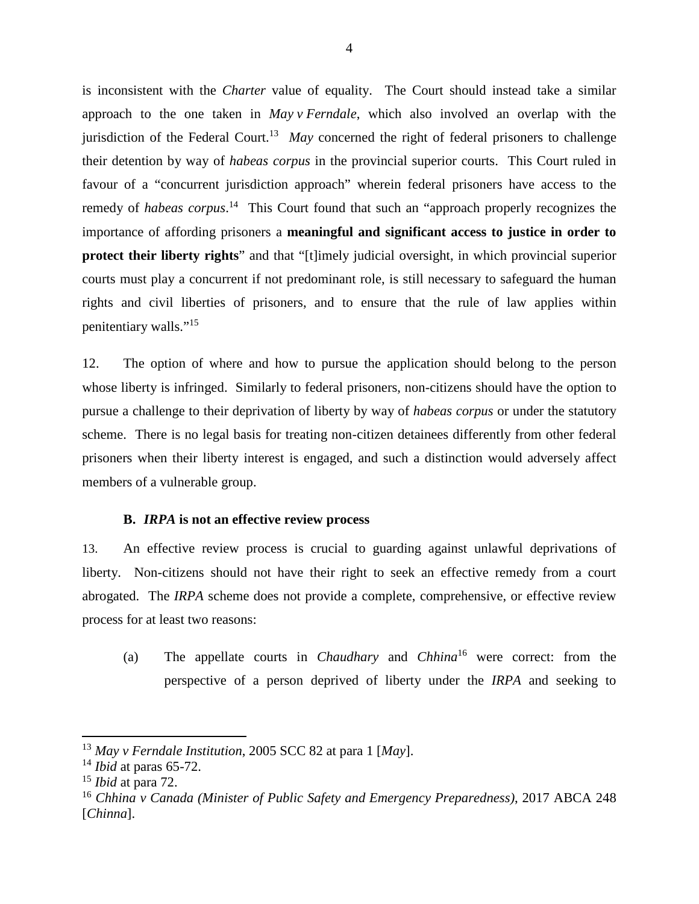is inconsistent with the *Charter* value of equality. The Court should instead take a similar approach to the one taken in *May v Ferndale*, which also involved an overlap with the jurisdiction of the Federal Court.<sup>13</sup> *May* concerned the right of federal prisoners to challenge their detention by way of *habeas corpus* in the provincial superior courts. This Court ruled in favour of a "concurrent jurisdiction approach" wherein federal prisoners have access to the remedy of *habeas corpus*. <sup>14</sup> This Court found that such an "approach properly recognizes the importance of affording prisoners a **meaningful and significant access to justice in order to protect their liberty rights**" and that "[t]imely judicial oversight, in which provincial superior courts must play a concurrent if not predominant role, is still necessary to safeguard the human rights and civil liberties of prisoners, and to ensure that the rule of law applies within penitentiary walls."<sup>15</sup>

12. The option of where and how to pursue the application should belong to the person whose liberty is infringed. Similarly to federal prisoners, non-citizens should have the option to pursue a challenge to their deprivation of liberty by way of *habeas corpus* or under the statutory scheme. There is no legal basis for treating non-citizen detainees differently from other federal prisoners when their liberty interest is engaged, and such a distinction would adversely affect members of a vulnerable group.

#### **B.** *IRPA* **is not an effective review process**

13. An effective review process is crucial to guarding against unlawful deprivations of liberty. Non-citizens should not have their right to seek an effective remedy from a court abrogated. The *IRPA* scheme does not provide a complete, comprehensive, or effective review process for at least two reasons:

(a) The appellate courts in *Chaudhary* and *Chhina*<sup>16</sup> were correct: from the perspective of a person deprived of liberty under the *IRPA* and seeking to

<sup>13</sup> *May v Ferndale Institution*, 2005 SCC 82 at para 1 [*May*].

<sup>14</sup> *Ibid* at paras 65-72.

<sup>15</sup> *Ibid* at para 72.

<sup>16</sup> *Chhina v Canada (Minister of Public Safety and Emergency Preparedness)*, 2017 ABCA 248 [*Chinna*].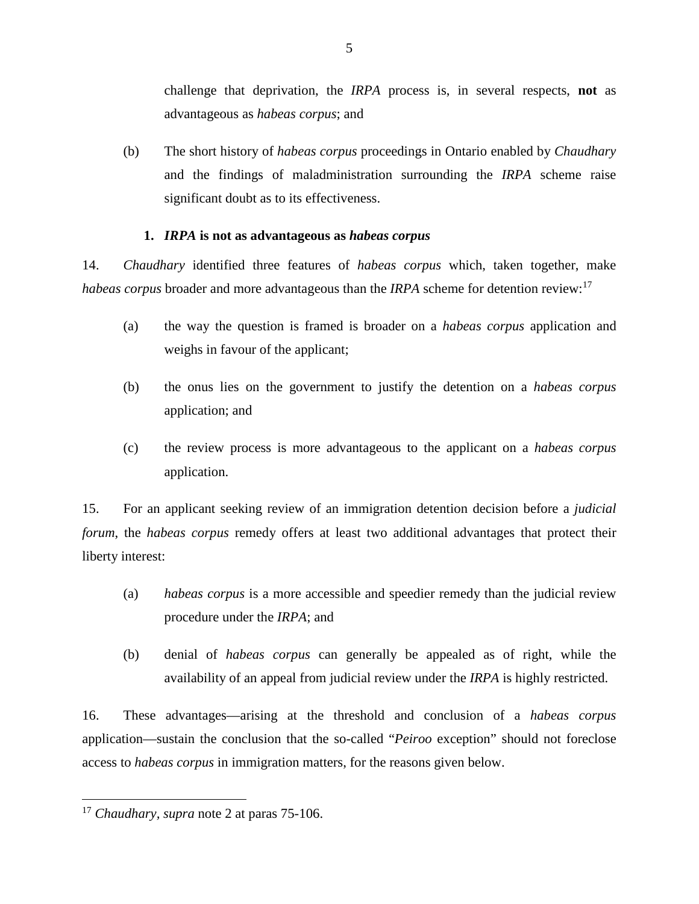challenge that deprivation, the *IRPA* process is, in several respects, **not** as advantageous as *habeas corpus*; and

(b) The short history of *habeas corpus* proceedings in Ontario enabled by *Chaudhary* and the findings of maladministration surrounding the *IRPA* scheme raise significant doubt as to its effectiveness.

### **1.** *IRPA* **is not as advantageous as** *habeas corpus*

14. *Chaudhary* identified three features of *habeas corpus* which, taken together, make *habeas corpus* broader and more advantageous than the *IRPA* scheme for detention review:<sup>17</sup>

- (a) the way the question is framed is broader on a *habeas corpus* application and weighs in favour of the applicant;
- (b) the onus lies on the government to justify the detention on a *habeas corpus*  application; and
- (c) the review process is more advantageous to the applicant on a *habeas corpus*  application.

15. For an applicant seeking review of an immigration detention decision before a *judicial forum*, the *habeas corpus* remedy offers at least two additional advantages that protect their liberty interest:

- (a) *habeas corpus* is a more accessible and speedier remedy than the judicial review procedure under the *IRPA*; and
- (b) denial of *habeas corpus* can generally be appealed as of right, while the availability of an appeal from judicial review under the *IRPA* is highly restricted.

16. These advantages—arising at the threshold and conclusion of a *habeas corpus*  application—sustain the conclusion that the so-called "*Peiroo* exception" should not foreclose access to *habeas corpus* in immigration matters, for the reasons given below.

<sup>17</sup> *Chaudhary, supra* note 2 at paras 75-106.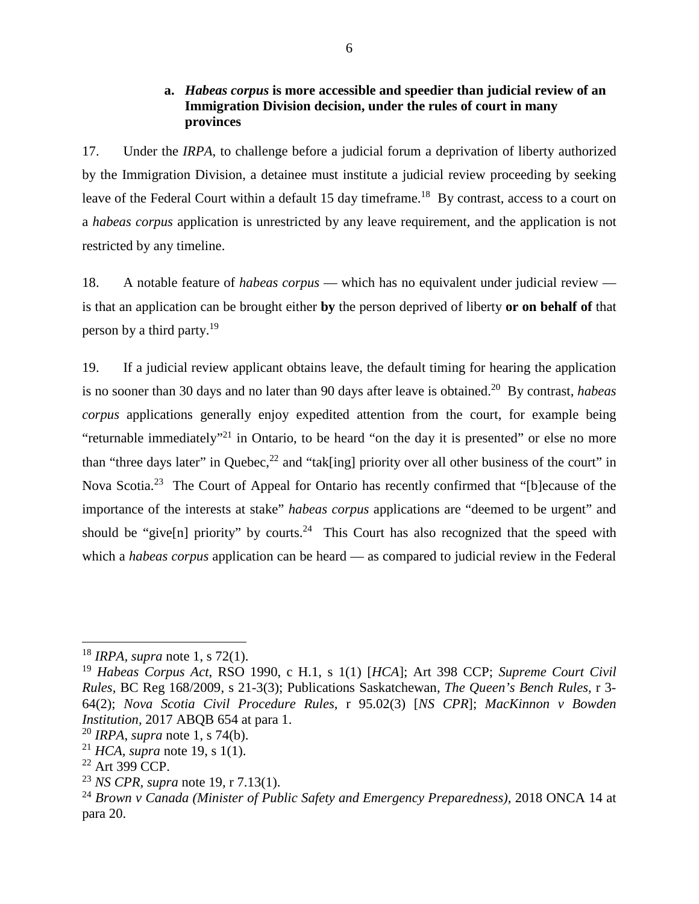### **a.** *Habeas corpus* **is more accessible and speedier than judicial review of an Immigration Division decision, under the rules of court in many provinces**

17. Under the *IRPA*, to challenge before a judicial forum a deprivation of liberty authorized by the Immigration Division, a detainee must institute a judicial review proceeding by seeking leave of the Federal Court within a default 15 day timeframe.<sup>18</sup> By contrast, access to a court on a *habeas corpus* application is unrestricted by any leave requirement, and the application is not restricted by any timeline.

18. A notable feature of *habeas corpus* — which has no equivalent under judicial review is that an application can be brought either **by** the person deprived of liberty **or on behalf of** that person by a third party.<sup>19</sup>

19. If a judicial review applicant obtains leave, the default timing for hearing the application is no sooner than 30 days and no later than 90 days after leave is obtained.<sup>20</sup> By contrast, *habeas corpus* applications generally enjoy expedited attention from the court, for example being "returnable immediately"<sup>21</sup> in Ontario, to be heard "on the day it is presented" or else no more than "three days later" in Quebec,  $^{22}$  and "tak[ing] priority over all other business of the court" in Nova Scotia.<sup>23</sup> The Court of Appeal for Ontario has recently confirmed that "[b]ecause of the importance of the interests at stake" *habeas corpus* applications are "deemed to be urgent" and should be "give[n] priority" by courts.<sup>24</sup> This Court has also recognized that the speed with which a *habeas corpus* application can be heard — as compared to judicial review in the Federal

<sup>18</sup> *IRPA, supra* note 1, s 72(1).

<sup>19</sup> *Habeas Corpus Act*, RSO 1990, c H.1, s 1(1) [*HCA*]; Art 398 CCP; *Supreme Court Civil Rules,* BC Reg 168/2009, s 21-3(3); Publications Saskatchewan, *The Queen's Bench Rules,* r 3- 64(2); *Nova Scotia Civil Procedure Rules*, r 95.02(3) [*NS CPR*]; *MacKinnon v Bowden Institution,* 2017 ABQB 654 at para 1.

<sup>20</sup> *IRPA*, *supra* note 1, s 74(b).

<sup>21</sup> *HCA, supra* note 19, s 1(1).

<sup>22</sup> Art 399 CCP.

<sup>23</sup> *NS CPR, supra* note 19*,* r 7.13(1).

<sup>&</sup>lt;sup>24</sup> Brown v Canada (Minister of Public Safety and Emergency Preparedness), 2018 ONCA 14 at para 20.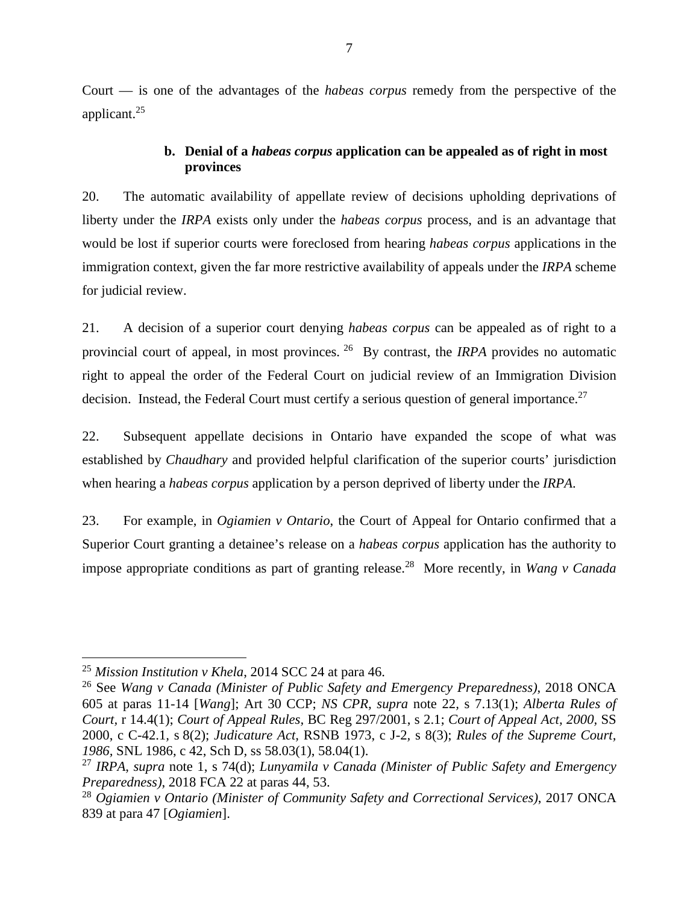Court — is one of the advantages of the *habeas corpus* remedy from the perspective of the applicant.<sup>25</sup>

### **b. Denial of a** *habeas corpus* **application can be appealed as of right in most provinces**

20. The automatic availability of appellate review of decisions upholding deprivations of liberty under the *IRPA* exists only under the *habeas corpus* process, and is an advantage that would be lost if superior courts were foreclosed from hearing *habeas corpus* applications in the immigration context, given the far more restrictive availability of appeals under the *IRPA* scheme for judicial review.

21. A decision of a superior court denying *habeas corpus* can be appealed as of right to a provincial court of appeal, in most provinces.<sup>26</sup> By contrast, the *IRPA* provides no automatic right to appeal the order of the Federal Court on judicial review of an Immigration Division decision. Instead, the Federal Court must certify a serious question of general importance.<sup>27</sup>

22. Subsequent appellate decisions in Ontario have expanded the scope of what was established by *Chaudhary* and provided helpful clarification of the superior courts' jurisdiction when hearing a *habeas corpus* application by a person deprived of liberty under the *IRPA*.

23. For example, in *Ogiamien v Ontario*, the Court of Appeal for Ontario confirmed that a Superior Court granting a detainee's release on a *habeas corpus* application has the authority to impose appropriate conditions as part of granting release.<sup>28</sup> More recently, in *Wang v Canada*

<sup>25</sup> *Mission Institution v Khela*, 2014 SCC 24 at para 46.

<sup>26</sup> See *Wang v Canada (Minister of Public Safety and Emergency Preparedness)*, 2018 ONCA 605 at paras 11-14 [*Wang*]; Art 30 CCP; *NS CPR, supra* note 22*,* s 7.13(1); *Alberta Rules of Court,* r 14.4(1); *Court of Appeal Rules,* BC Reg 297/2001, s 2.1; *Court of Appeal Act, 2000,* SS 2000, c C-42.1*,* s 8(2); *Judicature Act,* RSNB 1973, c J-2*,* s 8(3); *Rules of the Supreme Court, 1986,* SNL 1986, c 42, Sch D*,* ss 58.03(1), 58.04(1).

<sup>27</sup> *IRPA*, *supra* note 1, s 74(d); *Lunyamila v Canada (Minister of Public Safety and Emergency Preparedness)*, 2018 FCA 22 at paras 44, 53.

<sup>28</sup> *Ogiamien v Ontario (Minister of Community Safety and Correctional Services)*, 2017 ONCA 839 at para 47 [*Ogiamien*].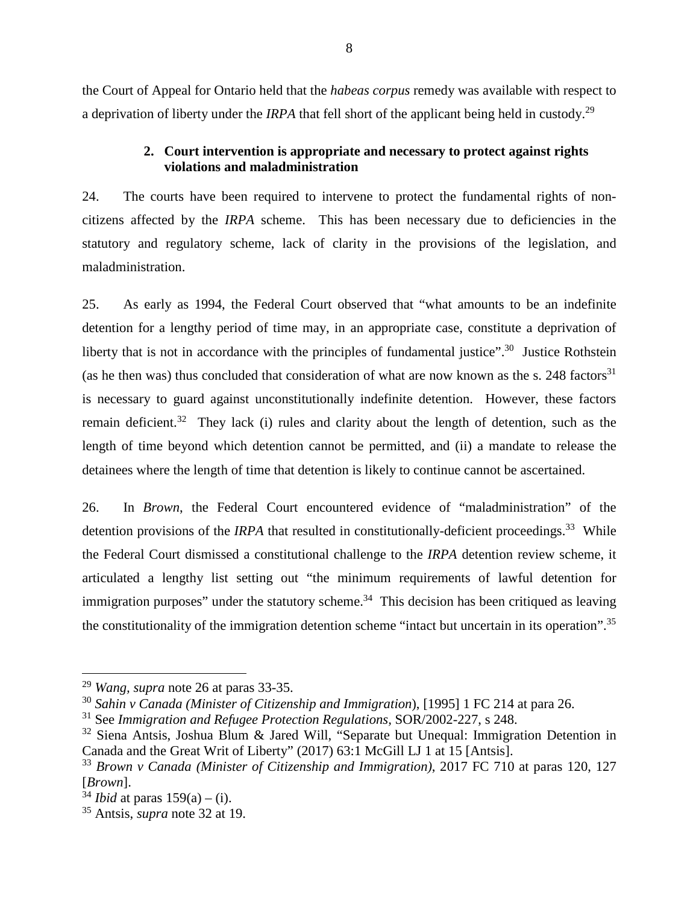the Court of Appeal for Ontario held that the *habeas corpus* remedy was available with respect to a deprivation of liberty under the *IRPA* that fell short of the applicant being held in custody.<sup>29</sup>

### **2. Court intervention is appropriate and necessary to protect against rights violations and maladministration**

24. The courts have been required to intervene to protect the fundamental rights of noncitizens affected by the *IRPA* scheme. This has been necessary due to deficiencies in the statutory and regulatory scheme, lack of clarity in the provisions of the legislation, and maladministration.

25. As early as 1994, the Federal Court observed that "what amounts to be an indefinite detention for a lengthy period of time may, in an appropriate case, constitute a deprivation of liberty that is not in accordance with the principles of fundamental justice".<sup>30</sup> Justice Rothstein (as he then was) thus concluded that consideration of what are now known as the s. 248 factors<sup>31</sup> is necessary to guard against unconstitutionally indefinite detention. However, these factors remain deficient.<sup>32</sup> They lack (i) rules and clarity about the length of detention, such as the length of time beyond which detention cannot be permitted, and (ii) a mandate to release the detainees where the length of time that detention is likely to continue cannot be ascertained.

26. In *Brown*, the Federal Court encountered evidence of "maladministration" of the detention provisions of the *IRPA* that resulted in constitutionally-deficient proceedings.<sup>33</sup> While the Federal Court dismissed a constitutional challenge to the *IRPA* detention review scheme, it articulated a lengthy list setting out "the minimum requirements of lawful detention for immigration purposes" under the statutory scheme. $34$  This decision has been critiqued as leaving the constitutionality of the immigration detention scheme "intact but uncertain in its operation".<sup>35</sup>

<sup>29</sup> *Wang, supra* note 26 at paras 33-35.

<sup>30</sup> *Sahin v Canada (Minister of Citizenship and Immigration*), [1995] 1 FC 214 at para 26.

<sup>31</sup> See *Immigration and Refugee Protection Regulations,* SOR/2002-227, s 248.

<sup>32</sup> Siena Antsis, Joshua Blum & Jared Will, "Separate but Unequal: Immigration Detention in Canada and the Great Writ of Liberty" (2017) 63:1 McGill LJ 1 at 15 [Antsis].

<sup>33</sup> *Brown v Canada (Minister of Citizenship and Immigration)*, 2017 FC 710 at paras 120, 127 [*Brown*].

<sup>&</sup>lt;sup>34</sup> *Ibid* at paras  $159(a) - (i)$ .

<sup>35</sup> Antsis, *supra* note 32 at 19.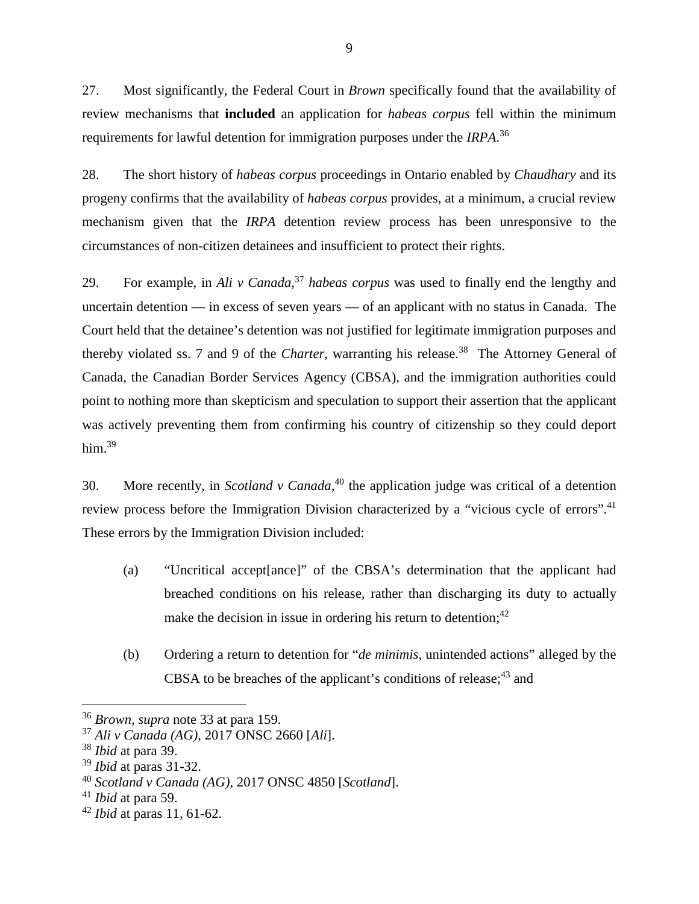27. Most significantly, the Federal Court in *Brown* specifically found that the availability of review mechanisms that **included** an application for *habeas corpus* fell within the minimum requirements for lawful detention for immigration purposes under the *IRPA*. 36

28. The short history of *habeas corpus* proceedings in Ontario enabled by *Chaudhary* and its progeny confirms that the availability of *habeas corpus* provides, at a minimum, a crucial review mechanism given that the *IRPA* detention review process has been unresponsive to the circumstances of non-citizen detainees and insufficient to protect their rights.

29. For example, in *Ali v Canada*, <sup>37</sup> *habeas corpus* was used to finally end the lengthy and uncertain detention — in excess of seven years — of an applicant with no status in Canada. The Court held that the detainee's detention was not justified for legitimate immigration purposes and thereby violated ss. 7 and 9 of the *Charter*, warranting his release.<sup>38</sup> The Attorney General of Canada, the Canadian Border Services Agency (CBSA), and the immigration authorities could point to nothing more than skepticism and speculation to support their assertion that the applicant was actively preventing them from confirming his country of citizenship so they could deport him. $39$ 

30. More recently, in *Scotland v Canada*, <sup>40</sup> the application judge was critical of a detention review process before the Immigration Division characterized by a "vicious cycle of errors".<sup>41</sup> These errors by the Immigration Division included:

- (a) "Uncritical accept[ance]" of the CBSA's determination that the applicant had breached conditions on his release, rather than discharging its duty to actually make the decision in issue in ordering his return to detention;  $42$
- (b) Ordering a return to detention for "*de minimis*, unintended actions" alleged by the CBSA to be breaches of the applicant's conditions of release;  $43$  and

<sup>36</sup> *Brown, supra* note 33 at para 159.

<sup>37</sup> *Ali v Canada (AG)*, 2017 ONSC 2660 [*Ali*].

<sup>38</sup> *Ibid* at para 39.

<sup>39</sup> *Ibid* at paras 31-32.

<sup>40</sup> *Scotland v Canada (AG)*, 2017 ONSC 4850 [*Scotland*].

<sup>41</sup> *Ibid* at para 59.

<sup>42</sup> *Ibid* at paras 11, 61-62.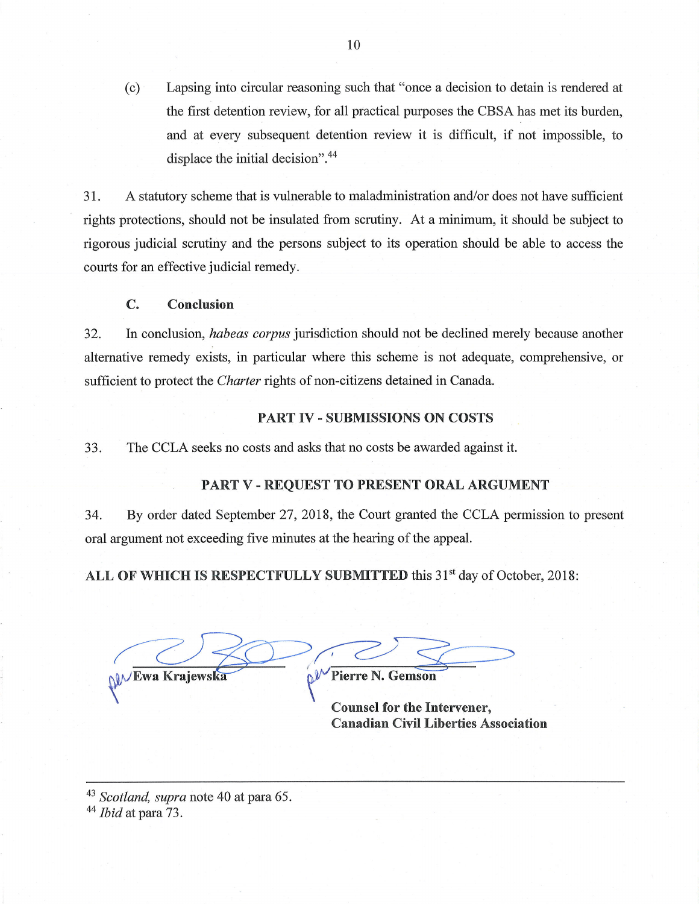Lapsing into circular reasoning such that "once a decision to detain is rendered at  $(c)$ the first detention review, for all practical purposes the CBSA has met its burden, and at every subsequent detention review it is difficult, if not impossible, to displace the initial decision".<sup>44</sup>

A statutory scheme that is vulnerable to maladministration and/or does not have sufficient 31. rights protections, should not be insulated from scrutiny. At a minimum, it should be subject to rigorous judicial scrutiny and the persons subject to its operation should be able to access the courts for an effective judicial remedy.

#### C. Conclusion

In conclusion, habeas corpus jurisdiction should not be declined merely because another 32. alternative remedy exists, in particular where this scheme is not adequate, comprehensive, or sufficient to protect the *Charter* rights of non-citizens detained in Canada.

### **PART IV - SUBMISSIONS ON COSTS**

33. The CCLA seeks no costs and asks that no costs be awarded against it.

### PART V - REQUEST TO PRESENT ORAL ARGUMENT

34. By order dated September 27, 2018, the Court granted the CCLA permission to present oral argument not exceeding five minutes at the hearing of the appeal.

ALL OF WHICH IS RESPECTFULLY SUBMITTED this 31<sup>st</sup> day of October, 2018:

NV Ewa Krajewska **N<sup>V</sup>** Pierre N. Gemson

**Counsel for the Intervener,** 

**Canadian Civil Liberties Association** 

<sup>43</sup> Scotland, supra note 40 at para 65.

 $44$  *Ibid* at para 73.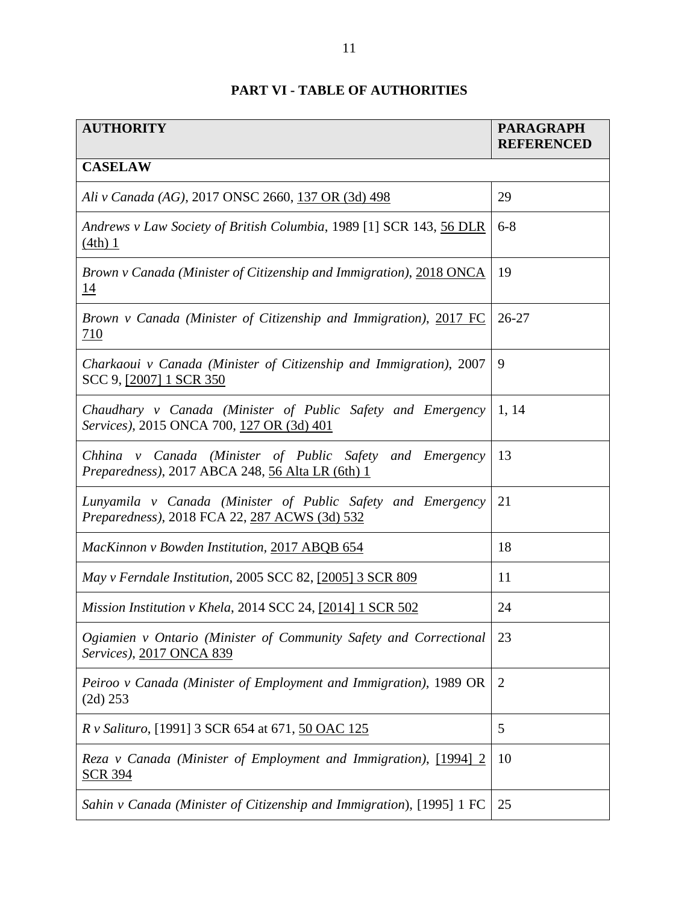## **PART VI - TABLE OF AUTHORITIES**

| <b>AUTHORITY</b>                                                                                             | <b>PARAGRAPH</b><br><b>REFERENCED</b> |
|--------------------------------------------------------------------------------------------------------------|---------------------------------------|
| <b>CASELAW</b>                                                                                               |                                       |
| Ali v Canada (AG), 2017 ONSC 2660, 137 OR (3d) 498                                                           | 29                                    |
| Andrews v Law Society of British Columbia, 1989 [1] SCR 143, 56 DLR<br>$(4th)$ 1                             | $6 - 8$                               |
| Brown v Canada (Minister of Citizenship and Immigration), 2018 ONCA<br><u>14</u>                             | 19                                    |
| Brown v Canada (Minister of Citizenship and Immigration), 2017 FC<br>710                                     | $26 - 27$                             |
| Charkaoui v Canada (Minister of Citizenship and Immigration), 2007<br>SCC 9, [2007] 1 SCR 350                | 9                                     |
| Chaudhary v Canada (Minister of Public Safety and Emergency<br>Services), 2015 ONCA 700, 127 OR (3d) 401     | 1, 14                                 |
| Chhina v Canada (Minister of Public Safety and Emergency<br>Preparedness), 2017 ABCA 248, 56 Alta LR (6th) 1 | 13                                    |
| Lunyamila v Canada (Minister of Public Safety and Emergency<br>Preparedness), 2018 FCA 22, 287 ACWS (3d) 532 | 21                                    |
| MacKinnon v Bowden Institution, 2017 ABQB 654                                                                | 18                                    |
| May v Ferndale Institution, 2005 SCC 82, [2005] 3 SCR 809                                                    | 11                                    |
| Mission Institution v Khela, 2014 SCC 24, [2014] 1 SCR 502                                                   | 24                                    |
| Ogiamien v Ontario (Minister of Community Safety and Correctional<br>Services), 2017 ONCA 839                | 23                                    |
| Peiroo v Canada (Minister of Employment and Immigration), 1989 OR<br>$(2d)$ 253                              | $\overline{2}$                        |
| R v Salituro, [1991] 3 SCR 654 at 671, 50 OAC 125                                                            | 5                                     |
| Reza v Canada (Minister of Employment and Immigration), [1994] 2<br><b>SCR 394</b>                           | 10                                    |
| Sahin v Canada (Minister of Citizenship and Immigration), [1995] 1 FC                                        | 25                                    |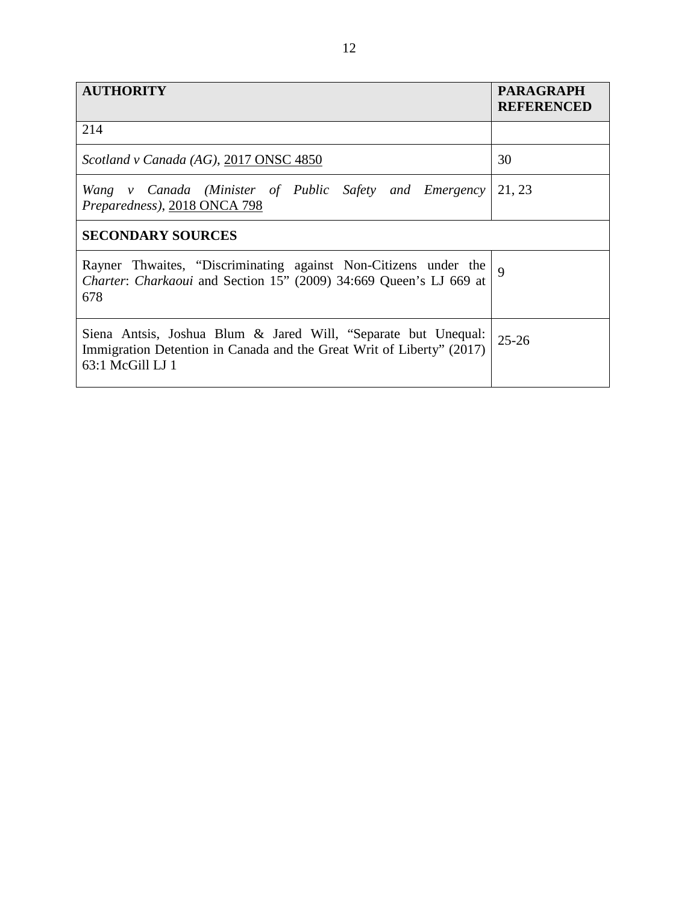| <b>AUTHORITY</b>                                                                                                                                            | <b>PARAGRAPH</b><br><b>REFERENCED</b> |
|-------------------------------------------------------------------------------------------------------------------------------------------------------------|---------------------------------------|
| 214                                                                                                                                                         |                                       |
| Scotland v Canada (AG), 2017 ONSC 4850                                                                                                                      | 30                                    |
| Wang v Canada (Minister of Public Safety and Emergency<br>Preparedness), 2018 ONCA 798                                                                      | 21, 23                                |
| <b>SECONDARY SOURCES</b>                                                                                                                                    |                                       |
| Rayner Thwaites, "Discriminating against Non-Citizens under the<br>Charter: Charkaoui and Section 15" (2009) 34:669 Queen's LJ 669 at<br>678                | $\mathbf Q$                           |
| Siena Antsis, Joshua Blum & Jared Will, "Separate but Unequal:<br>Immigration Detention in Canada and the Great Writ of Liberty" (2017)<br>63:1 McGill LJ 1 | $25 - 26$                             |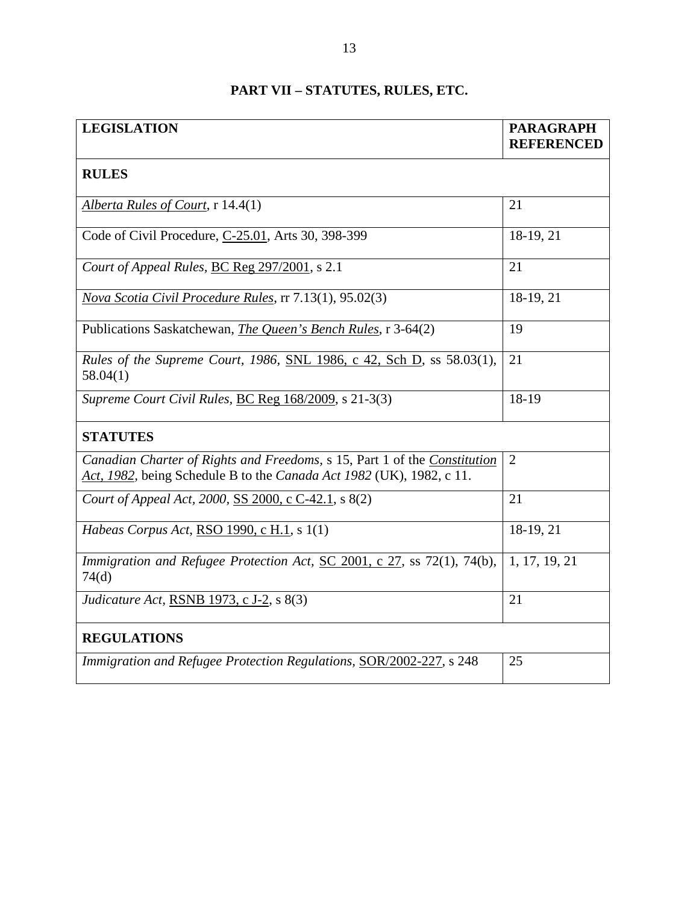| PART VII – STATUTES, RULES, ETC. |  |  |  |  |  |
|----------------------------------|--|--|--|--|--|
|----------------------------------|--|--|--|--|--|

| <b>LEGISLATION</b>                                                                                                                                | <b>PARAGRAPH</b><br><b>REFERENCED</b> |
|---------------------------------------------------------------------------------------------------------------------------------------------------|---------------------------------------|
| <b>RULES</b>                                                                                                                                      |                                       |
| Alberta Rules of Court, r 14.4(1)                                                                                                                 | 21                                    |
| Code of Civil Procedure, C-25.01, Arts 30, 398-399                                                                                                | 18-19, 21                             |
| Court of Appeal Rules, BC Reg 297/2001, s 2.1                                                                                                     | 21                                    |
| Nova Scotia Civil Procedure Rules, rr 7.13(1), 95.02(3)                                                                                           | 18-19, 21                             |
| Publications Saskatchewan, The Queen's Bench Rules, r 3-64(2)                                                                                     | 19                                    |
| Rules of the Supreme Court, 1986, SNL 1986, c 42, Sch D, ss 58.03(1),<br>58.04(1)                                                                 | 21                                    |
| Supreme Court Civil Rules, BC Reg 168/2009, s 21-3(3)                                                                                             | 18-19                                 |
| <b>STATUTES</b>                                                                                                                                   |                                       |
| Canadian Charter of Rights and Freedoms, s 15, Part 1 of the Constitution<br>Act, 1982, being Schedule B to the Canada Act 1982 (UK), 1982, c 11. | $\overline{2}$                        |
| Court of Appeal Act, 2000, SS 2000, c C-42.1, s 8(2)                                                                                              | 21                                    |
| Habeas Corpus Act, RSO 1990, c H.1, s 1(1)                                                                                                        | $18-19, 21$                           |
| Immigration and Refugee Protection Act, SC 2001, c 27, ss 72(1), 74(b),<br>74 <sub>d</sub>                                                        | 1, 17, 19, 21                         |
| <i>Judicature Act, RSNB 1973, c J-2, s 8(3)</i>                                                                                                   | 21                                    |
| <b>REGULATIONS</b>                                                                                                                                |                                       |
| Immigration and Refugee Protection Regulations, SOR/2002-227, s 248                                                                               | 25                                    |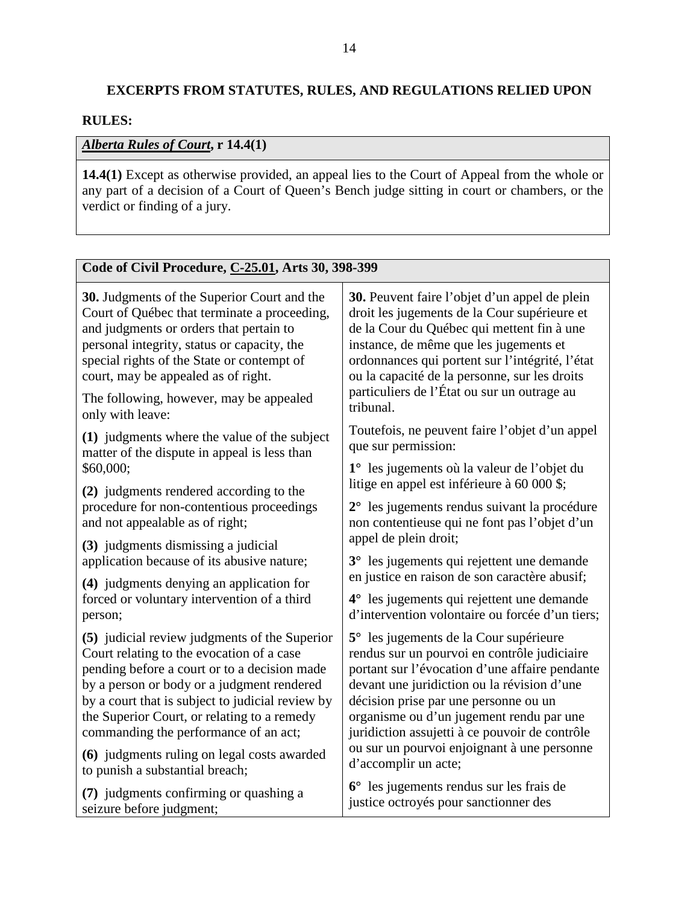# **EXCERPTS FROM STATUTES, RULES, AND REGULATIONS RELIED UPON**

### **RULES:**

## *Alberta Rules of Court***, r 14.4(1)**

**14.4(1)** Except as otherwise provided, an appeal lies to the Court of Appeal from the whole or any part of a decision of a Court of Queen's Bench judge sitting in court or chambers, or the verdict or finding of a jury.

| Code of Civil Procedure, C-25.01, Arts 30, 398-399                                                                      |                                                                                                                   |  |  |
|-------------------------------------------------------------------------------------------------------------------------|-------------------------------------------------------------------------------------------------------------------|--|--|
| 30. Judgments of the Superior Court and the                                                                             | <b>30.</b> Peuvent faire l'objet d'un appel de plein                                                              |  |  |
| Court of Québec that terminate a proceeding,                                                                            | droit les jugements de la Cour supérieure et                                                                      |  |  |
| and judgments or orders that pertain to                                                                                 | de la Cour du Québec qui mettent fin à une                                                                        |  |  |
| personal integrity, status or capacity, the                                                                             | instance, de même que les jugements et                                                                            |  |  |
| special rights of the State or contempt of                                                                              | ordonnances qui portent sur l'intégrité, l'état                                                                   |  |  |
| court, may be appealed as of right.                                                                                     | ou la capacité de la personne, sur les droits                                                                     |  |  |
| The following, however, may be appealed                                                                                 | particuliers de l'État ou sur un outrage au                                                                       |  |  |
| only with leave:                                                                                                        | tribunal.                                                                                                         |  |  |
| (1) judgments where the value of the subject                                                                            | Toutefois, ne peuvent faire l'objet d'un appel                                                                    |  |  |
| matter of the dispute in appeal is less than<br>\$60,000;                                                               | que sur permission:<br>1° les jugements où la valeur de l'objet du<br>litige en appel est inférieure à 60 000 \$; |  |  |
| (2) judgments rendered according to the<br>procedure for non-contentious proceedings<br>and not appealable as of right; | $2^{\circ}$ les jugements rendus suivant la procédure<br>non contentieuse qui ne font pas l'objet d'un            |  |  |
| (3) judgments dismissing a judicial                                                                                     | appel de plein droit;                                                                                             |  |  |
| application because of its abusive nature;                                                                              | 3° les jugements qui rejettent une demande                                                                        |  |  |
| (4) judgments denying an application for                                                                                | en justice en raison de son caractère abusif;                                                                     |  |  |
| forced or voluntary intervention of a third                                                                             | 4° les jugements qui rejettent une demande                                                                        |  |  |
| person;                                                                                                                 | d'intervention volontaire ou forcée d'un tiers;                                                                   |  |  |
| (5) judicial review judgments of the Superior                                                                           | 5° les jugements de la Cour supérieure                                                                            |  |  |
| Court relating to the evocation of a case                                                                               | rendus sur un pourvoi en contrôle judiciaire                                                                      |  |  |
| pending before a court or to a decision made                                                                            | portant sur l'évocation d'une affaire pendante                                                                    |  |  |
| by a person or body or a judgment rendered                                                                              | devant une juridiction ou la révision d'une                                                                       |  |  |
| by a court that is subject to judicial review by                                                                        | décision prise par une personne ou un                                                                             |  |  |
| the Superior Court, or relating to a remedy                                                                             | organisme ou d'un jugement rendu par une                                                                          |  |  |
| commanding the performance of an act;                                                                                   | juridiction assujetti à ce pouvoir de contrôle                                                                    |  |  |
| (6) judgments ruling on legal costs awarded                                                                             | ou sur un pourvoi enjoignant à une personne                                                                       |  |  |
| to punish a substantial breach;                                                                                         | d'accomplir un acte;                                                                                              |  |  |
| (7) judgments confirming or quashing a                                                                                  | $6^{\circ}$ les jugements rendus sur les frais de                                                                 |  |  |
| seizure before judgment;                                                                                                | justice octroyés pour sanctionner des                                                                             |  |  |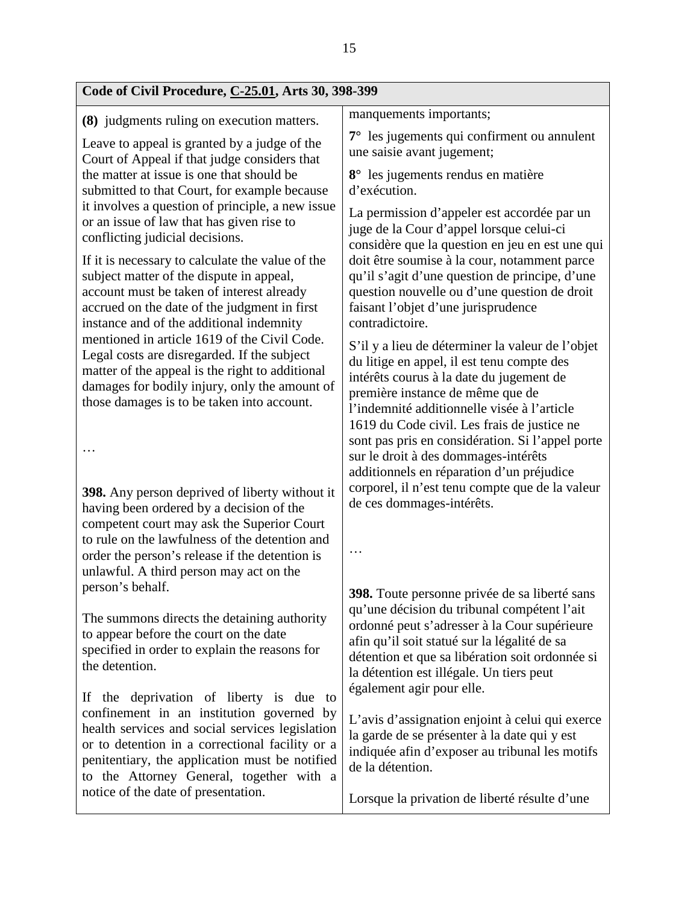| manquements importants;                                                                                                                                                                                                                                                      |
|------------------------------------------------------------------------------------------------------------------------------------------------------------------------------------------------------------------------------------------------------------------------------|
|                                                                                                                                                                                                                                                                              |
| 7° les jugements qui confirment ou annulent<br>une saisie avant jugement;                                                                                                                                                                                                    |
| 8° les jugements rendus en matière<br>d'exécution.                                                                                                                                                                                                                           |
| La permission d'appeler est accordée par un<br>juge de la Cour d'appel lorsque celui-ci<br>considère que la question en jeu en est une qui                                                                                                                                   |
| doit être soumise à la cour, notamment parce<br>qu'il s'agit d'une question de principe, d'une<br>question nouvelle ou d'une question de droit<br>faisant l'objet d'une jurisprudence<br>contradictoire.                                                                     |
| S'il y a lieu de déterminer la valeur de l'objet<br>du litige en appel, il est tenu compte des<br>intérêts courus à la date du jugement de<br>première instance de même que de<br>l'indemnité additionnelle visée à l'article<br>1619 du Code civil. Les frais de justice ne |
| sont pas pris en considération. Si l'appel porte<br>sur le droit à des dommages-intérêts<br>additionnels en réparation d'un préjudice                                                                                                                                        |
| corporel, il n'est tenu compte que de la valeur<br>de ces dommages-intérêts.                                                                                                                                                                                                 |
| <b>398.</b> Toute personne privée de sa liberté sans<br>qu'une décision du tribunal compétent l'ait                                                                                                                                                                          |
| ordonné peut s'adresser à la Cour supérieure<br>afin qu'il soit statué sur la légalité de sa<br>détention et que sa libération soit ordonnée si<br>la détention est illégale. Un tiers peut<br>également agir pour elle.                                                     |
| L'avis d'assignation enjoint à celui qui exerce<br>la garde de se présenter à la date qui y est<br>indiquée afin d'exposer au tribunal les motifs<br>de la détention.<br>Lorsque la privation de liberté résulte d'une                                                       |
|                                                                                                                                                                                                                                                                              |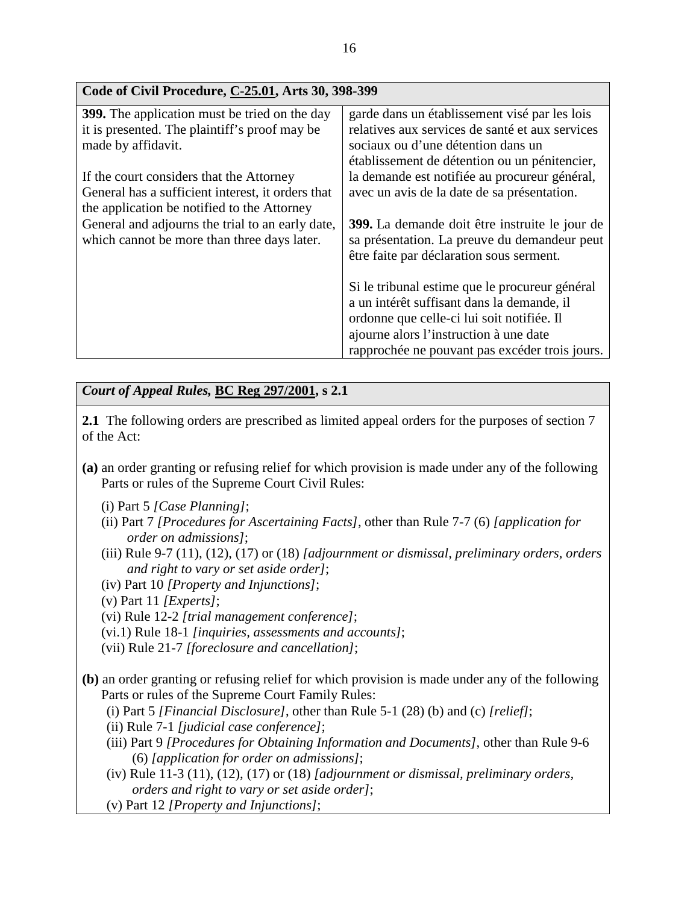| Code of Civil Procedure, C-25.01, Arts 30, 398-399   |                                                 |  |
|------------------------------------------------------|-------------------------------------------------|--|
| <b>399.</b> The application must be tried on the day | garde dans un établissement visé par les lois   |  |
| it is presented. The plaintiff's proof may be        | relatives aux services de santé et aux services |  |
| made by affidavit.                                   | sociaux ou d'une détention dans un              |  |
|                                                      | établissement de détention ou un pénitencier,   |  |
| If the court considers that the Attorney             | la demande est notifiée au procureur général,   |  |
| General has a sufficient interest, it orders that    | avec un avis de la date de sa présentation.     |  |
| the application be notified to the Attorney          |                                                 |  |
| General and adjourns the trial to an early date,     | 399. La demande doit être instruite le jour de  |  |
| which cannot be more than three days later.          | sa présentation. La preuve du demandeur peut    |  |
|                                                      | être faite par déclaration sous serment.        |  |
|                                                      |                                                 |  |
|                                                      | Si le tribunal estime que le procureur général  |  |
|                                                      | a un intérêt suffisant dans la demande, il      |  |
|                                                      | ordonne que celle-ci lui soit notifiée. Il      |  |
|                                                      | ajourne alors l'instruction à une date          |  |
|                                                      | rapprochée ne pouvant pas excéder trois jours.  |  |

*Court of Appeal Rules,* **BC Reg 297/2001, s 2.1** 

**2.1** The following orders are prescribed as limited appeal orders for the purposes of section 7 of the Act:

- **(a)** an order granting or refusing relief for which provision is made under any of the following Parts or rules of the Supreme Court Civil Rules:
	- (i) Part 5 *[Case Planning]*;
	- (ii) Part 7 *[Procedures for Ascertaining Facts]*, other than Rule 7-7 (6) *[application for order on admissions]*;
	- (iii) Rule 9-7 (11), (12), (17) or (18) *[adjournment or dismissal, preliminary orders, orders and right to vary or set aside order]*;
	- (iv) Part 10 *[Property and Injunctions]*;
	- (v) Part 11 *[Experts]*;
	- (vi) Rule 12-2 *[trial management conference]*;
	- (vi.1) Rule 18-1 *[inquiries, assessments and accounts]*;
	- (vii) Rule 21-7 *[foreclosure and cancellation]*;
- **(b)** an order granting or refusing relief for which provision is made under any of the following Parts or rules of the Supreme Court Family Rules:
	- (i) Part 5 *[Financial Disclosure]*, other than Rule 5-1 (28) (b) and (c) *[relief]*;
	- (ii) Rule 7-1 *[judicial case conference]*;
	- (iii) Part 9 *[Procedures for Obtaining Information and Documents]*, other than Rule 9-6 (6) *[application for order on admissions]*;
	- (iv) Rule 11-3 (11), (12), (17) or (18) *[adjournment or dismissal, preliminary orders, orders and right to vary or set aside order]*;
	- (v) Part 12 *[Property and Injunctions]*;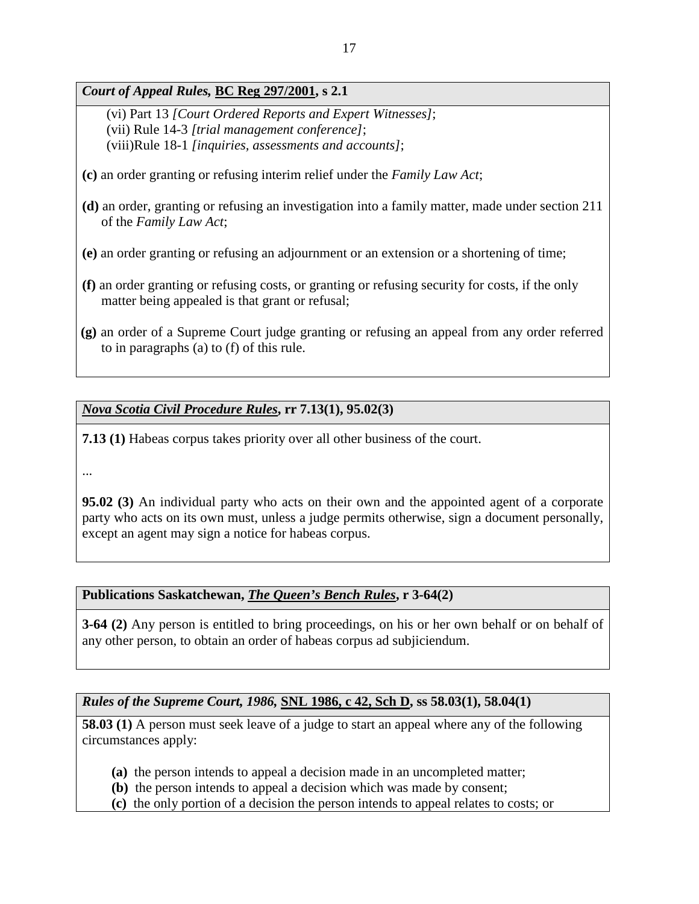*Court of Appeal Rules,* **BC Reg 297/2001, s 2.1** 

(vi) Part 13 *[Court Ordered Reports and Expert Witnesses]*; (vii) Rule 14-3 *[trial management conference]*; (viii)Rule 18-1 *[inquiries, assessments and accounts]*;

- **(c)** an order granting or refusing interim relief under the *Family Law Act*;
- **(d)** an order, granting or refusing an investigation into a family matter, made under section 211 of the *Family Law Act*;
- **(e)** an order granting or refusing an adjournment or an extension or a shortening of time;
- **(f)** an order granting or refusing costs, or granting or refusing security for costs, if the only matter being appealed is that grant or refusal;
- **(g)** an order of a Supreme Court judge granting or refusing an appeal from any order referred to in paragraphs (a) to (f) of this rule.

### *Nova Scotia Civil Procedure Rules***, rr 7.13(1), 95.02(3)**

**7.13 (1)** Habeas corpus takes priority over all other business of the court.

...

**95.02 (3)** An individual party who acts on their own and the appointed agent of a corporate party who acts on its own must, unless a judge permits otherwise, sign a document personally, except an agent may sign a notice for habeas corpus.

### **Publications Saskatchewan,** *The Queen's Bench Rules***, r 3-64(2)**

**3-64 (2)** Any person is entitled to bring proceedings, on his or her own behalf or on behalf of any other person, to obtain an order of habeas corpus ad subjiciendum.

### *Rules of the Supreme Court, 1986,* **SNL 1986, c 42, Sch D, ss 58.03(1), 58.04(1)**

**58.03 (1)** A person must seek leave of a judge to start an appeal where any of the following circumstances apply:

- **(a)** the person intends to appeal a decision made in an uncompleted matter;
- **(b)** the person intends to appeal a decision which was made by consent;
- **(c)** the only portion of a decision the person intends to appeal relates to costs; or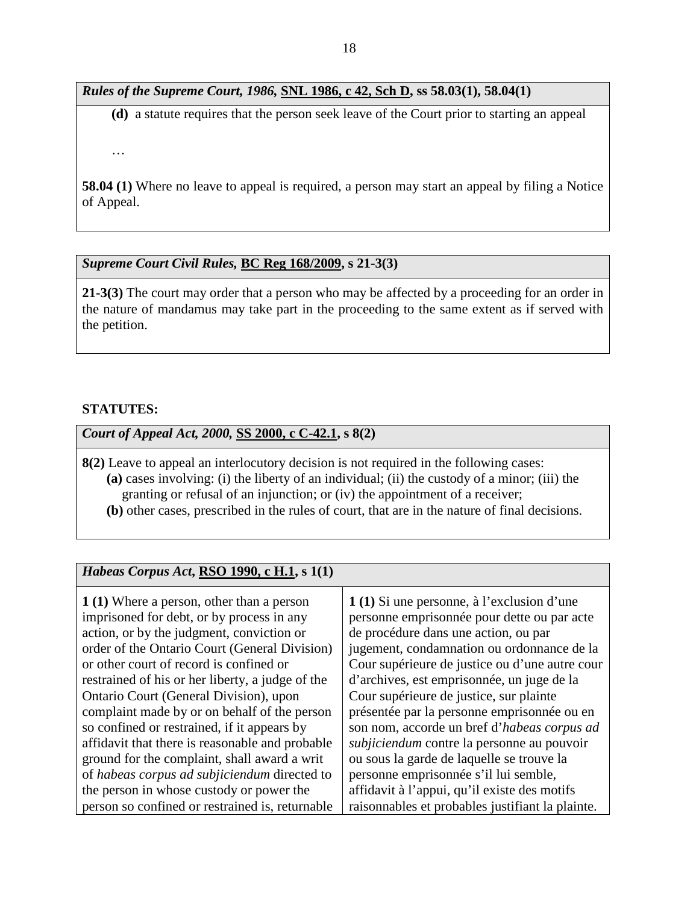### *Rules of the Supreme Court, 1986,* **SNL 1986, c 42, Sch D, ss 58.03(1), 58.04(1)**

**(d)** a statute requires that the person seek leave of the Court prior to starting an appeal

…

**58.04 (1)** Where no leave to appeal is required, a person may start an appeal by filing a Notice of Appeal.

### *Supreme Court Civil Rules,* **BC Reg 168/2009, s 21-3(3)**

**21-3(3)** The court may order that a person who may be affected by a proceeding for an order in the nature of mandamus may take part in the proceeding to the same extent as if served with the petition.

### **STATUTES:**

*Court of Appeal Act, 2000,* **SS 2000, c C-42.1, s 8(2)** 

- **8(2)** Leave to appeal an interlocutory decision is not required in the following cases: **(a)** cases involving: (i) the liberty of an individual; (ii) the custody of a minor; (iii) the granting or refusal of an injunction; or (iv) the appointment of a receiver;
	- **(b)** other cases, prescribed in the rules of court, that are in the nature of final decisions.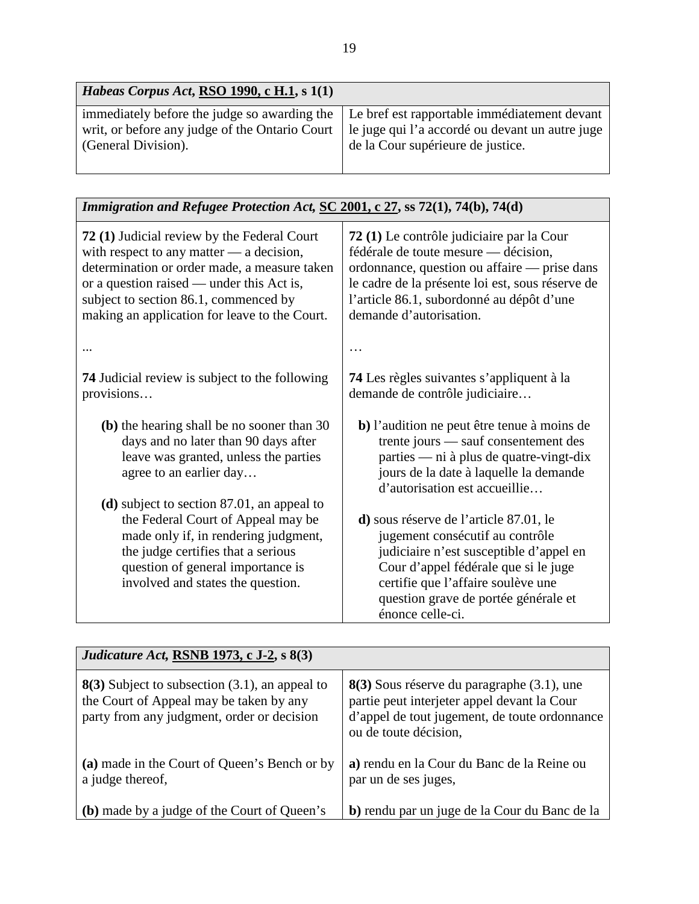| <i>Habeas Corpus Act, RSO 1990, c H.1, s 1(1)</i> |                                                                                                                                                                                                                                    |
|---------------------------------------------------|------------------------------------------------------------------------------------------------------------------------------------------------------------------------------------------------------------------------------------|
| (General Division).                               | immediately before the judge so awarding the Le bref est rapportable immediatement devant<br>writ, or before any judge of the Ontario Court   le juge qui l'a accordé ou devant un autre juge<br>de la Cour supérieure de justice. |

| Immigration and Refugee Protection Act, SC 2001, c 27, ss 72(1), 74(b), 74(d)                                                                                                              |                                                                                                                                                                                                                                                                |  |  |
|--------------------------------------------------------------------------------------------------------------------------------------------------------------------------------------------|----------------------------------------------------------------------------------------------------------------------------------------------------------------------------------------------------------------------------------------------------------------|--|--|
| 72 (1) Judicial review by the Federal Court                                                                                                                                                | 72 (1) Le contrôle judiciaire par la Cour                                                                                                                                                                                                                      |  |  |
| with respect to any matter $-$ a decision,                                                                                                                                                 | fédérale de toute mesure — décision,                                                                                                                                                                                                                           |  |  |
| determination or order made, a measure taken                                                                                                                                               | ordonnance, question ou affaire — prise dans                                                                                                                                                                                                                   |  |  |
| or a question raised — under this Act is,                                                                                                                                                  | le cadre de la présente loi est, sous réserve de                                                                                                                                                                                                               |  |  |
| subject to section 86.1, commenced by                                                                                                                                                      | l'article 86.1, subordonné au dépôt d'une                                                                                                                                                                                                                      |  |  |
| making an application for leave to the Court.                                                                                                                                              | demande d'autorisation.                                                                                                                                                                                                                                        |  |  |
|                                                                                                                                                                                            |                                                                                                                                                                                                                                                                |  |  |
| <b>74</b> Judicial review is subject to the following                                                                                                                                      | <b>74</b> Les règles suivantes s'appliquent à la                                                                                                                                                                                                               |  |  |
| provisions                                                                                                                                                                                 | demande de contrôle judiciaire                                                                                                                                                                                                                                 |  |  |
| (b) the hearing shall be no sooner than 30                                                                                                                                                 | b) l'audition ne peut être tenue à moins de                                                                                                                                                                                                                    |  |  |
| days and no later than 90 days after                                                                                                                                                       | trente jours — sauf consentement des                                                                                                                                                                                                                           |  |  |
| leave was granted, unless the parties                                                                                                                                                      | parties — ni à plus de quatre-vingt-dix                                                                                                                                                                                                                        |  |  |
| agree to an earlier day                                                                                                                                                                    | jours de la date à laquelle la demande                                                                                                                                                                                                                         |  |  |
| (d) subject to section $87.01$ , an appeal to                                                                                                                                              | d'autorisation est accueillie                                                                                                                                                                                                                                  |  |  |
| the Federal Court of Appeal may be<br>made only if, in rendering judgment,<br>the judge certifies that a serious<br>question of general importance is<br>involved and states the question. | d) sous réserve de l'article 87.01, le<br>jugement consécutif au contrôle<br>judiciaire n'est susceptible d'appel en<br>Cour d'appel fédérale que si le juge<br>certifie que l'affaire soulève une<br>question grave de portée générale et<br>énonce celle-ci. |  |  |

| Judicature Act, RSNB 1973, c J-2, s 8(3)                                                                                                  |                                                                                                                                                                     |  |
|-------------------------------------------------------------------------------------------------------------------------------------------|---------------------------------------------------------------------------------------------------------------------------------------------------------------------|--|
| $8(3)$ Subject to subsection (3.1), an appeal to<br>the Court of Appeal may be taken by any<br>party from any judgment, order or decision | 8(3) Sous réserve du paragraphe (3.1), une<br>partie peut interjeter appel devant la Cour<br>d'appel de tout jugement, de toute ordonnance<br>ou de toute décision, |  |
| (a) made in the Court of Queen's Bench or by<br>a judge thereof,                                                                          | a) rendu en la Cour du Banc de la Reine ou<br>par un de ses juges,                                                                                                  |  |
| (b) made by a judge of the Court of Queen's                                                                                               | b) rendu par un juge de la Cour du Banc de la                                                                                                                       |  |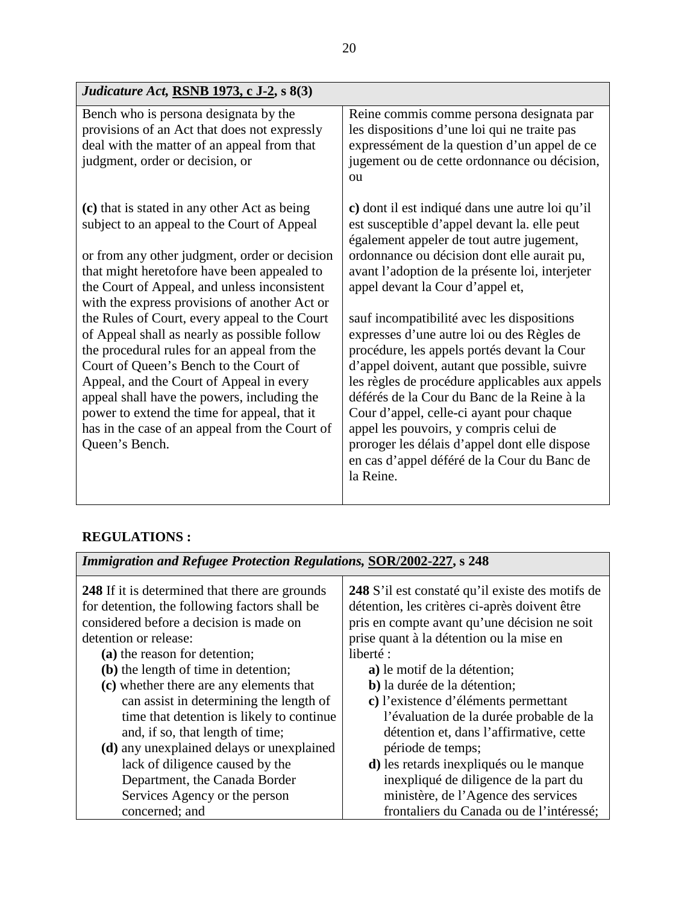| <i>Judicature Act, RSNB 1973, c J-2, s 8(3)</i>                                                                                                                                                                                                                                                                                                                                                                                                                                                                                                                                                                                                                                                       |                                                                                                                                                                                                                                                                                                                                                                                                                                                                                                                                                                                                                                                                                                                                                                                  |
|-------------------------------------------------------------------------------------------------------------------------------------------------------------------------------------------------------------------------------------------------------------------------------------------------------------------------------------------------------------------------------------------------------------------------------------------------------------------------------------------------------------------------------------------------------------------------------------------------------------------------------------------------------------------------------------------------------|----------------------------------------------------------------------------------------------------------------------------------------------------------------------------------------------------------------------------------------------------------------------------------------------------------------------------------------------------------------------------------------------------------------------------------------------------------------------------------------------------------------------------------------------------------------------------------------------------------------------------------------------------------------------------------------------------------------------------------------------------------------------------------|
| Bench who is persona designata by the<br>provisions of an Act that does not expressly<br>deal with the matter of an appeal from that<br>judgment, order or decision, or                                                                                                                                                                                                                                                                                                                                                                                                                                                                                                                               | Reine commis comme persona designata par<br>les dispositions d'une loi qui ne traite pas<br>expressément de la question d'un appel de ce<br>jugement ou de cette ordonnance ou décision,<br>ou                                                                                                                                                                                                                                                                                                                                                                                                                                                                                                                                                                                   |
| (c) that is stated in any other Act as being<br>subject to an appeal to the Court of Appeal<br>or from any other judgment, order or decision<br>that might heretofore have been appealed to<br>the Court of Appeal, and unless inconsistent<br>with the express provisions of another Act or<br>the Rules of Court, every appeal to the Court<br>of Appeal shall as nearly as possible follow<br>the procedural rules for an appeal from the<br>Court of Queen's Bench to the Court of<br>Appeal, and the Court of Appeal in every<br>appeal shall have the powers, including the<br>power to extend the time for appeal, that it<br>has in the case of an appeal from the Court of<br>Queen's Bench. | c) dont il est indiqué dans une autre loi qu'il<br>est susceptible d'appel devant la elle peut<br>également appeler de tout autre jugement,<br>ordonnance ou décision dont elle aurait pu,<br>avant l'adoption de la présente loi, interjeter<br>appel devant la Cour d'appel et,<br>sauf incompatibilité avec les dispositions<br>expresses d'une autre loi ou des Règles de<br>procédure, les appels portés devant la Cour<br>d'appel doivent, autant que possible, suivre<br>les règles de procédure applicables aux appels<br>déférés de la Cour du Banc de la Reine à la<br>Cour d'appel, celle-ci ayant pour chaque<br>appel les pouvoirs, y compris celui de<br>proroger les délais d'appel dont elle dispose<br>en cas d'appel déféré de la Cour du Banc de<br>la Reine. |

## **REGULATIONS :**

| <b>Immigration and Refugee Protection Regulations, SOR/2002-227, s 248</b>                                                                                                                                                                                                                                                                                                                                                                                                                                 |                                                                                                                                                                                                                                                                                                                                                                                                                                                                          |  |
|------------------------------------------------------------------------------------------------------------------------------------------------------------------------------------------------------------------------------------------------------------------------------------------------------------------------------------------------------------------------------------------------------------------------------------------------------------------------------------------------------------|--------------------------------------------------------------------------------------------------------------------------------------------------------------------------------------------------------------------------------------------------------------------------------------------------------------------------------------------------------------------------------------------------------------------------------------------------------------------------|--|
| <b>248</b> If it is determined that there are grounds<br>for detention, the following factors shall be<br>considered before a decision is made on<br>detention or release:<br>(a) the reason for detention;<br>(b) the length of time in detention;<br>(c) whether there are any elements that<br>can assist in determining the length of<br>time that detention is likely to continue<br>and, if so, that length of time;<br>(d) any unexplained delays or unexplained<br>lack of diligence caused by the | 248 S'il est constaté qu'il existe des motifs de<br>détention, les critères ci-après doivent être<br>pris en compte avant qu'une décision ne soit<br>prise quant à la détention ou la mise en<br>liberté :<br>a) le motif de la détention;<br>b) la durée de la détention;<br>c) l'existence d'éléments permettant<br>l'évaluation de la durée probable de la<br>détention et, dans l'affirmative, cette<br>période de temps;<br>d) les retards inexpliqués ou le manque |  |
| Department, the Canada Border                                                                                                                                                                                                                                                                                                                                                                                                                                                                              | inexpliqué de diligence de la part du                                                                                                                                                                                                                                                                                                                                                                                                                                    |  |
|                                                                                                                                                                                                                                                                                                                                                                                                                                                                                                            |                                                                                                                                                                                                                                                                                                                                                                                                                                                                          |  |
| Services Agency or the person                                                                                                                                                                                                                                                                                                                                                                                                                                                                              | ministère, de l'Agence des services                                                                                                                                                                                                                                                                                                                                                                                                                                      |  |
| concerned; and                                                                                                                                                                                                                                                                                                                                                                                                                                                                                             | frontaliers du Canada ou de l'intéressé;                                                                                                                                                                                                                                                                                                                                                                                                                                 |  |